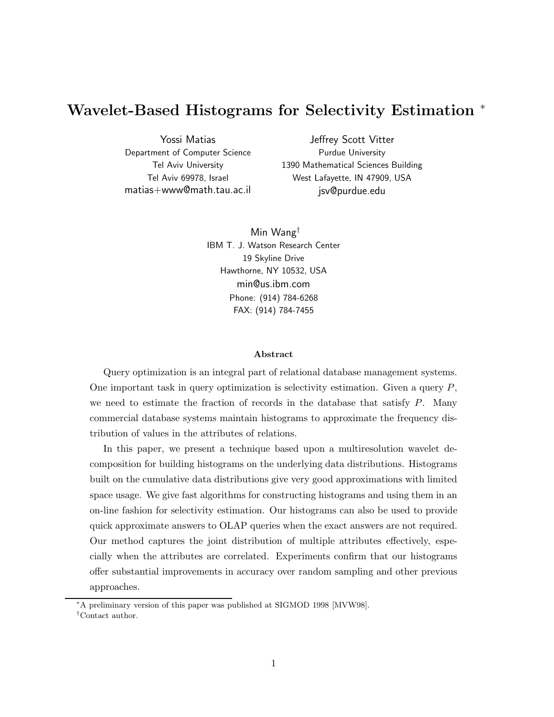# **Wavelet-Based Histograms for Selectivity Estimation** <sup>∗</sup>

Yossi Matias Department of Computer Science Tel Aviv University Tel Aviv 69978, Israel matias+www@math.tau.ac.il

Jeffrey Scott Vitter Purdue University 1390 Mathematical Sciences Building West Lafayette, IN 47909, USA jsv@purdue.edu

Min Wang† IBM T. J. Watson Research Center 19 Skyline Drive Hawthorne, NY 10532, USA min@us.ibm.com Phone: (914) 784-6268 FAX: (914) 784-7455

#### **Abstract**

Query optimization is an integral part of relational database management systems. One important task in query optimization is selectivity estimation. Given a query  $P$ , we need to estimate the fraction of records in the database that satisfy  $P$ . Many commercial database systems maintain histograms to approximate the frequency distribution of values in the attributes of relations.

In this paper, we present a technique based upon a multiresolution wavelet decomposition for building histograms on the underlying data distributions. Histograms built on the cumulative data distributions give very good approximations with limited space usage. We give fast algorithms for constructing histograms and using them in an on-line fashion for selectivity estimation. Our histograms can also be used to provide quick approximate answers to OLAP queries when the exact answers are not required. Our method captures the joint distribution of multiple attributes effectively, especially when the attributes are correlated. Experiments confirm that our histograms offer substantial improvements in accuracy over random sampling and other previous approaches.

<sup>∗</sup>A preliminary version of this paper was published at SIGMOD 1998 [MVW98].

<sup>†</sup>Contact author.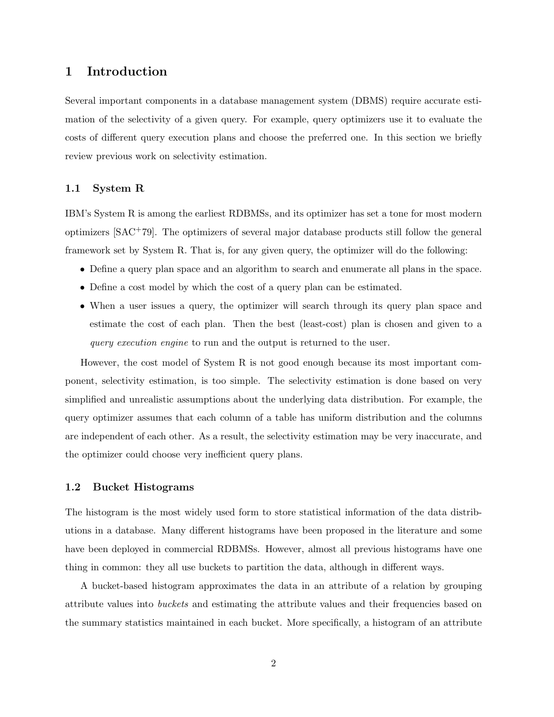## **1 Introduction**

Several important components in a database management system (DBMS) require accurate estimation of the selectivity of a given query. For example, query optimizers use it to evaluate the costs of different query execution plans and choose the preferred one. In this section we briefly review previous work on selectivity estimation.

#### **1.1 System R**

IBM's System R is among the earliest RDBMSs, and its optimizer has set a tone for most modern optimizers [SAC+79]. The optimizers of several major database products still follow the general framework set by System R. That is, for any given query, the optimizer will do the following:

- Define a query plan space and an algorithm to search and enumerate all plans in the space.
- Define a cost model by which the cost of a query plan can be estimated.
- When a user issues a query, the optimizer will search through its query plan space and estimate the cost of each plan. Then the best (least-cost) plan is chosen and given to a *query execution engine* to run and the output is returned to the user.

However, the cost model of System R is not good enough because its most important component, selectivity estimation, is too simple. The selectivity estimation is done based on very simplified and unrealistic assumptions about the underlying data distribution. For example, the query optimizer assumes that each column of a table has uniform distribution and the columns are independent of each other. As a result, the selectivity estimation may be very inaccurate, and the optimizer could choose very inefficient query plans.

#### **1.2 Bucket Histograms**

The histogram is the most widely used form to store statistical information of the data distributions in a database. Many different histograms have been proposed in the literature and some have been deployed in commercial RDBMSs. However, almost all previous histograms have one thing in common: they all use buckets to partition the data, although in different ways.

A bucket-based histogram approximates the data in an attribute of a relation by grouping attribute values into *buckets* and estimating the attribute values and their frequencies based on the summary statistics maintained in each bucket. More specifically, a histogram of an attribute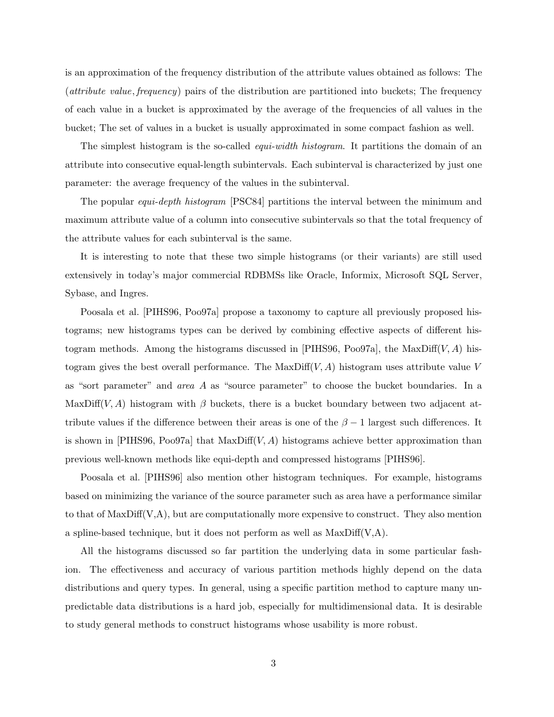is an approximation of the frequency distribution of the attribute values obtained as follows: The (*attribute value*, *frequency*) pairs of the distribution are partitioned into buckets; The frequency of each value in a bucket is approximated by the average of the frequencies of all values in the bucket; The set of values in a bucket is usually approximated in some compact fashion as well.

The simplest histogram is the so-called *equi-width histogram*. It partitions the domain of an attribute into consecutive equal-length subintervals. Each subinterval is characterized by just one parameter: the average frequency of the values in the subinterval.

The popular *equi-depth histogram* [PSC84] partitions the interval between the minimum and maximum attribute value of a column into consecutive subintervals so that the total frequency of the attribute values for each subinterval is the same.

It is interesting to note that these two simple histograms (or their variants) are still used extensively in today's major commercial RDBMSs like Oracle, Informix, Microsoft SQL Server, Sybase, and Ingres.

Poosala et al. [PIHS96, Poo97a] propose a taxonomy to capture all previously proposed histograms; new histograms types can be derived by combining effective aspects of different histogram methods. Among the histograms discussed in [PIHS96, Poo97a], the MaxDiff(V, A) histogram gives the best overall performance. The MaxDiff $(V, A)$  histogram uses attribute value V as "sort parameter" and *area* A as "source parameter" to choose the bucket boundaries. In a MaxDiff(V, A) histogram with  $\beta$  buckets, there is a bucket boundary between two adjacent attribute values if the difference between their areas is one of the  $\beta - 1$  largest such differences. It is shown in [PIHS96, Poo97a] that MaxDiff $(V, A)$  histograms achieve better approximation than previous well-known methods like equi-depth and compressed histograms [PIHS96].

Poosala et al. [PIHS96] also mention other histogram techniques. For example, histograms based on minimizing the variance of the source parameter such as area have a performance similar to that of  $\text{MaxDiff}(V,A)$ , but are computationally more expensive to construct. They also mention a spline-based technique, but it does not perform as well as  $MaxDiff(V,A)$ .

All the histograms discussed so far partition the underlying data in some particular fashion. The effectiveness and accuracy of various partition methods highly depend on the data distributions and query types. In general, using a specific partition method to capture many unpredictable data distributions is a hard job, especially for multidimensional data. It is desirable to study general methods to construct histograms whose usability is more robust.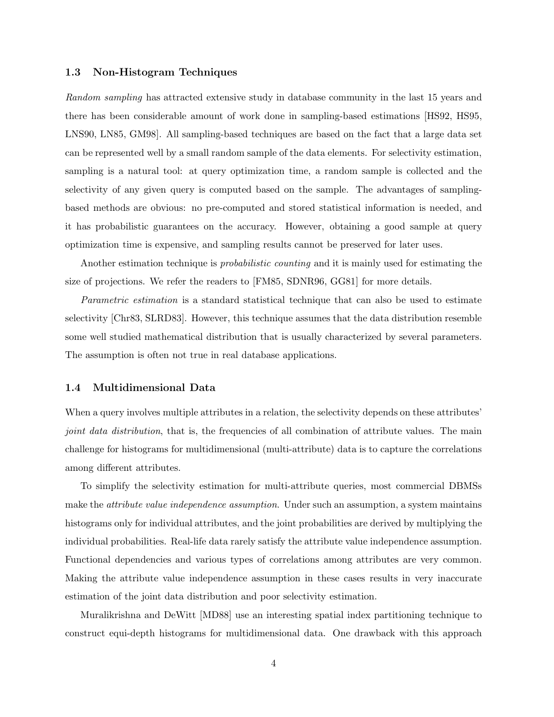#### **1.3 Non-Histogram Techniques**

*Random sampling* has attracted extensive study in database community in the last 15 years and there has been considerable amount of work done in sampling-based estimations [HS92, HS95, LNS90, LN85, GM98]. All sampling-based techniques are based on the fact that a large data set can be represented well by a small random sample of the data elements. For selectivity estimation, sampling is a natural tool: at query optimization time, a random sample is collected and the selectivity of any given query is computed based on the sample. The advantages of samplingbased methods are obvious: no pre-computed and stored statistical information is needed, and it has probabilistic guarantees on the accuracy. However, obtaining a good sample at query optimization time is expensive, and sampling results cannot be preserved for later uses.

Another estimation technique is *probabilistic counting* and it is mainly used for estimating the size of projections. We refer the readers to [FM85, SDNR96, GG81] for more details.

*Parametric estimation* is a standard statistical technique that can also be used to estimate selectivity [Chr83, SLRD83]. However, this technique assumes that the data distribution resemble some well studied mathematical distribution that is usually characterized by several parameters. The assumption is often not true in real database applications.

## **1.4 Multidimensional Data**

When a query involves multiple attributes in a relation, the selectivity depends on these attributes' *joint data distribution*, that is, the frequencies of all combination of attribute values. The main challenge for histograms for multidimensional (multi-attribute) data is to capture the correlations among different attributes.

To simplify the selectivity estimation for multi-attribute queries, most commercial DBMSs make the *attribute value independence assumption*. Under such an assumption, a system maintains histograms only for individual attributes, and the joint probabilities are derived by multiplying the individual probabilities. Real-life data rarely satisfy the attribute value independence assumption. Functional dependencies and various types of correlations among attributes are very common. Making the attribute value independence assumption in these cases results in very inaccurate estimation of the joint data distribution and poor selectivity estimation.

Muralikrishna and DeWitt [MD88] use an interesting spatial index partitioning technique to construct equi-depth histograms for multidimensional data. One drawback with this approach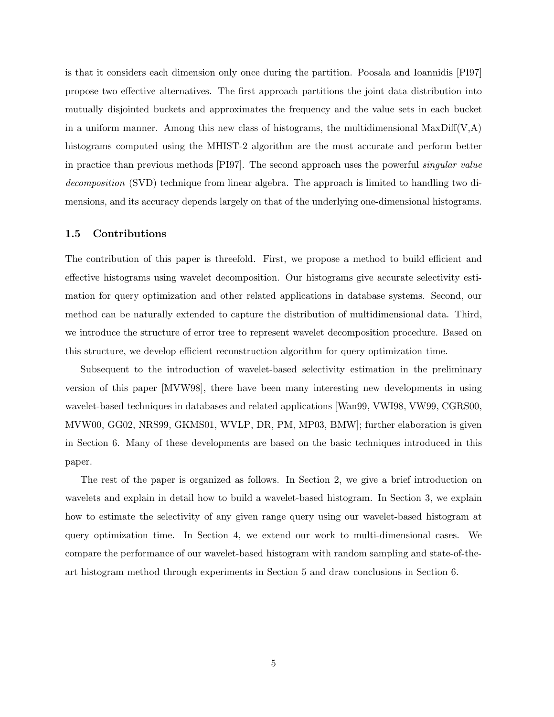is that it considers each dimension only once during the partition. Poosala and Ioannidis [PI97] propose two effective alternatives. The first approach partitions the joint data distribution into mutually disjointed buckets and approximates the frequency and the value sets in each bucket in a uniform manner. Among this new class of histograms, the multidimensional  $MaxDiff(V,A)$ histograms computed using the MHIST-2 algorithm are the most accurate and perform better in practice than previous methods [PI97]. The second approach uses the powerful *singular value decomposition* (SVD) technique from linear algebra. The approach is limited to handling two dimensions, and its accuracy depends largely on that of the underlying one-dimensional histograms.

#### **1.5 Contributions**

The contribution of this paper is threefold. First, we propose a method to build efficient and effective histograms using wavelet decomposition. Our histograms give accurate selectivity estimation for query optimization and other related applications in database systems. Second, our method can be naturally extended to capture the distribution of multidimensional data. Third, we introduce the structure of error tree to represent wavelet decomposition procedure. Based on this structure, we develop efficient reconstruction algorithm for query optimization time.

Subsequent to the introduction of wavelet-based selectivity estimation in the preliminary version of this paper [MVW98], there have been many interesting new developments in using wavelet-based techniques in databases and related applications [Wan99, VWI98, VW99, CGRS00, MVW00, GG02, NRS99, GKMS01, WVLP, DR, PM, MP03, BMW]; further elaboration is given in Section 6. Many of these developments are based on the basic techniques introduced in this paper.

The rest of the paper is organized as follows. In Section 2, we give a brief introduction on wavelets and explain in detail how to build a wavelet-based histogram. In Section 3, we explain how to estimate the selectivity of any given range query using our wavelet-based histogram at query optimization time. In Section 4, we extend our work to multi-dimensional cases. We compare the performance of our wavelet-based histogram with random sampling and state-of-theart histogram method through experiments in Section 5 and draw conclusions in Section 6.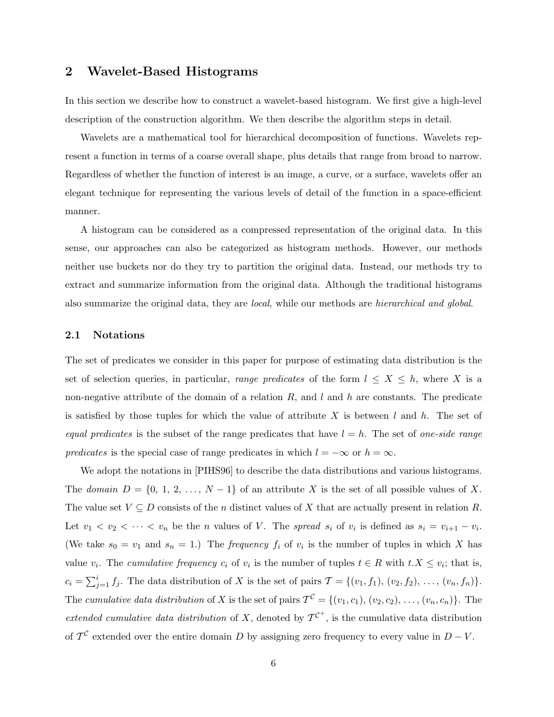## **2 Wavelet-Based Histograms**

In this section we describe how to construct a wavelet-based histogram. We first give a high-level description of the construction algorithm. We then describe the algorithm steps in detail.

Wavelets are a mathematical tool for hierarchical decomposition of functions. Wavelets represent a function in terms of a coarse overall shape, plus details that range from broad to narrow. Regardless of whether the function of interest is an image, a curve, or a surface, wavelets offer an elegant technique for representing the various levels of detail of the function in a space-efficient manner.

A histogram can be considered as a compressed representation of the original data. In this sense, our approaches can also be categorized as histogram methods. However, our methods neither use buckets nor do they try to partition the original data. Instead, our methods try to extract and summarize information from the original data. Although the traditional histograms also summarize the original data, they are *local*, while our methods are *hierarchical and global*.

#### **2.1 Notations**

The set of predicates we consider in this paper for purpose of estimating data distribution is the set of selection queries, in particular, *range predicates* of the form  $l \leq X \leq h$ , where X is a non-negative attribute of the domain of a relation  $R$ , and  $l$  and  $h$  are constants. The predicate is satisfied by those tuples for which the value of attribute X is between l and h. The set of *equal predicates* is the subset of the range predicates that have  $l = h$ . The set of *one-side range predicates* is the special case of range predicates in which  $l = -\infty$  or  $h = \infty$ .

We adopt the notations in [PIHS96] to describe the data distributions and various histograms. The *domain*  $D = \{0, 1, 2, ..., N-1\}$  of an attribute X is the set of all possible values of X. The value set  $V \subseteq D$  consists of the *n* distinct values of X that are actually present in relation R. Let  $v_1 < v_2 < \cdots < v_n$  be the *n* values of *V*. The *spread*  $s_i$  of  $v_i$  is defined as  $s_i = v_{i+1} - v_i$ . (We take  $s_0 = v_1$  and  $s_n = 1$ .) The *frequency*  $f_i$  of  $v_i$  is the number of tuples in which X has value  $v_i$ . The *cumulative frequency*  $c_i$  of  $v_i$  is the number of tuples  $t \in R$  with  $t.X \leq v_i$ ; that is,  $c_i = \sum_{j=1}^i f_j$ . The data distribution of X is the set of pairs  $\mathcal{T} = \{(v_1, f_1), (v_2, f_2), \ldots, (v_n, f_n)\}.$ The *cumulative data distribution* of X is the set of pairs  $\mathcal{T}^{\mathcal{C}} = \{(v_1, c_1), (v_2, c_2), \ldots, (v_n, c_n)\}.$  The *extended cumulative data distribution* of X, denoted by  $\mathcal{T}^{C^+}$ , is the cumulative data distribution of  $\mathcal{T}^{\mathcal{C}}$  extended over the entire domain D by assigning zero frequency to every value in  $D - V$ .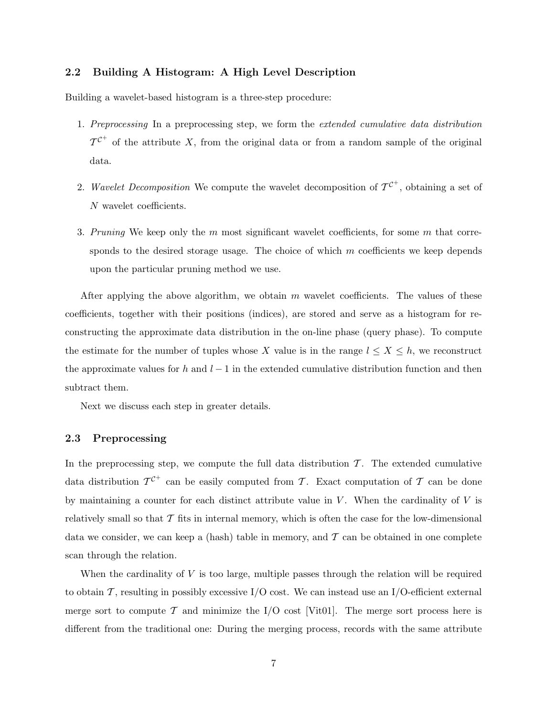#### **2.2 Building A Histogram: A High Level Description**

Building a wavelet-based histogram is a three-step procedure:

- 1. *Preprocessing* In a preprocessing step, we form the *extended cumulative data distribution*  $\mathcal{T}^{\mathcal{C}^+}$  of the attribute X, from the original data or from a random sample of the original data.
- 2. *Wavelet Decomposition* We compute the wavelet decomposition of  $\mathcal{T}^{\mathcal{C}^+}$ , obtaining a set of N wavelet coefficients.
- 3. *Pruning* We keep only the m most significant wavelet coefficients, for some m that corresponds to the desired storage usage. The choice of which  $m$  coefficients we keep depends upon the particular pruning method we use.

After applying the above algorithm, we obtain  $m$  wavelet coefficients. The values of these coefficients, together with their positions (indices), are stored and serve as a histogram for reconstructing the approximate data distribution in the on-line phase (query phase). To compute the estimate for the number of tuples whose X value is in the range  $l \leq X \leq h$ , we reconstruct the approximate values for h and  $l-1$  in the extended cumulative distribution function and then subtract them.

Next we discuss each step in greater details.

#### **2.3 Preprocessing**

In the preprocessing step, we compute the full data distribution  $\mathcal T$ . The extended cumulative data distribution  $\mathcal{T}^{\mathcal{C}^+}$  can be easily computed from T. Exact computation of T can be done by maintaining a counter for each distinct attribute value in  $V$ . When the cardinality of  $V$  is relatively small so that  $\mathcal T$  fits in internal memory, which is often the case for the low-dimensional data we consider, we can keep a (hash) table in memory, and  $\mathcal T$  can be obtained in one complete scan through the relation.

When the cardinality of  $V$  is too large, multiple passes through the relation will be required to obtain  $\mathcal T$ , resulting in possibly excessive I/O cost. We can instead use an I/O-efficient external merge sort to compute T and minimize the  $I/O$  cost [Vit01]. The merge sort process here is different from the traditional one: During the merging process, records with the same attribute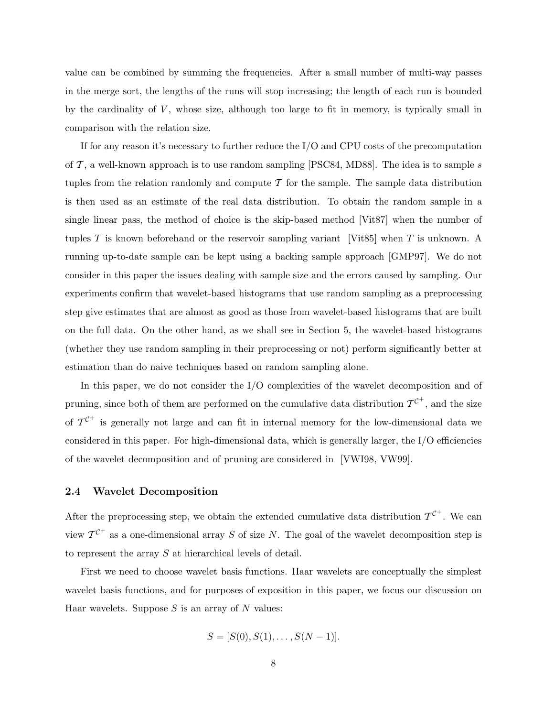value can be combined by summing the frequencies. After a small number of multi-way passes in the merge sort, the lengths of the runs will stop increasing; the length of each run is bounded by the cardinality of  $V$ , whose size, although too large to fit in memory, is typically small in comparison with the relation size.

If for any reason it's necessary to further reduce the I/O and CPU costs of the precomputation of  $\mathcal{T}$ , a well-known approach is to use random sampling [PSC84, MD88]. The idea is to sample s tuples from the relation randomly and compute  $\mathcal T$  for the sample. The sample data distribution is then used as an estimate of the real data distribution. To obtain the random sample in a single linear pass, the method of choice is the skip-based method [Vit87] when the number of tuples T is known beforehand or the reservoir sampling variant [Vit85] when T is unknown. A running up-to-date sample can be kept using a backing sample approach [GMP97]. We do not consider in this paper the issues dealing with sample size and the errors caused by sampling. Our experiments confirm that wavelet-based histograms that use random sampling as a preprocessing step give estimates that are almost as good as those from wavelet-based histograms that are built on the full data. On the other hand, as we shall see in Section 5, the wavelet-based histograms (whether they use random sampling in their preprocessing or not) perform significantly better at estimation than do naive techniques based on random sampling alone.

In this paper, we do not consider the I/O complexities of the wavelet decomposition and of pruning, since both of them are performed on the cumulative data distribution  $\mathcal{T}^{\mathcal{C}^+}$ , and the size of  $\mathcal{T}^{\mathcal{C}^+}$  is generally not large and can fit in internal memory for the low-dimensional data we considered in this paper. For high-dimensional data, which is generally larger, the I/O efficiencies of the wavelet decomposition and of pruning are considered in [VWI98, VW99].

#### **2.4 Wavelet Decomposition**

After the preprocessing step, we obtain the extended cumulative data distribution  $\mathcal{T}^{\mathcal{C}^+}$ . We can view  $\mathcal{T}^{\mathcal{C}^+}$  as a one-dimensional array S of size N. The goal of the wavelet decomposition step is to represent the array S at hierarchical levels of detail.

First we need to choose wavelet basis functions. Haar wavelets are conceptually the simplest wavelet basis functions, and for purposes of exposition in this paper, we focus our discussion on Haar wavelets. Suppose  $S$  is an array of  $N$  values:

$$
S = [S(0), S(1), \dots, S(N-1)].
$$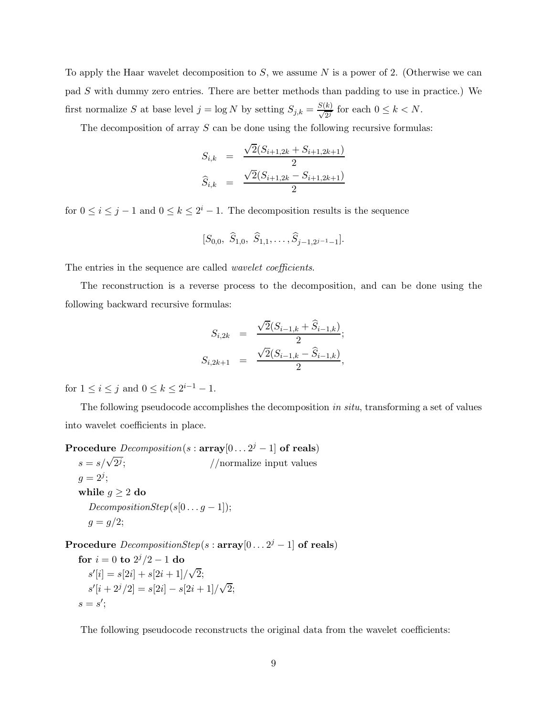To apply the Haar wavelet decomposition to  $S$ , we assume N is a power of 2. (Otherwise we can pad S with dummy zero entries. There are better methods than padding to use in practice.) We first normalize S at base level  $j = \log N$  by setting  $S_{j,k} = \frac{S(k)}{\sqrt{2^j}}$  for each  $0 \le k \le N$ .

The decomposition of array S can be done using the following recursive formulas:

$$
S_{i,k} = \frac{\sqrt{2}(S_{i+1,2k} + S_{i+1,2k+1})}{2}
$$

$$
\widehat{S}_{i,k} = \frac{\sqrt{2}(S_{i+1,2k} - S_{i+1,2k+1})}{2}
$$

for  $0 \le i \le j-1$  and  $0 \le k \le 2^i-1$ . The decomposition results is the sequence

$$
[S_{0,0}, \ \widehat{S}_{1,0}, \ \widehat{S}_{1,1}, \ldots, \widehat{S}_{j-1,2^{j-1}-1}].
$$

The entries in the sequence are called *wavelet coefficients*.

The reconstruction is a reverse process to the decomposition, and can be done using the following backward recursive formulas:

$$
S_{i,2k} = \frac{\sqrt{2}(S_{i-1,k} + \widehat{S}_{i-1,k})}{2};
$$
  

$$
S_{i,2k+1} = \frac{\sqrt{2}(S_{i-1,k} - \widehat{S}_{i-1,k})}{2},
$$

for  $1 \le i \le j$  and  $0 \le k \le 2^{i-1} - 1$ .

The following pseudocode accomplishes the decomposition *in situ*, transforming a set of values into wavelet coefficients in place.

**Procedure**  $Decomposition(s : array[0... 2<sup>j</sup> - 1]$  of reals)

 $s = s/\sqrt{2^j}$ ; 2*<sup>j</sup>* ; //normalize input values  $g = 2^{j}$ ; while  $g \geq 2$  do  $DecompositionStep(s[0...g-1])$ ;  $g = g/2;$ 

**Procedure**  $DecompositionStep(s : array[0... 2<sup>j</sup> - 1]$  of reals)

**for** 
$$
i = 0
$$
 **to**  $2^{j}/2 - 1$  **do**  
\n $s'[i] = s[2i] + s[2i + 1]/\sqrt{2};$   
\n $s'[i + 2^{j}/2] = s[2i] - s[2i + 1]/\sqrt{2};$   
\n $s = s';$ 

The following pseudocode reconstructs the original data from the wavelet coefficients: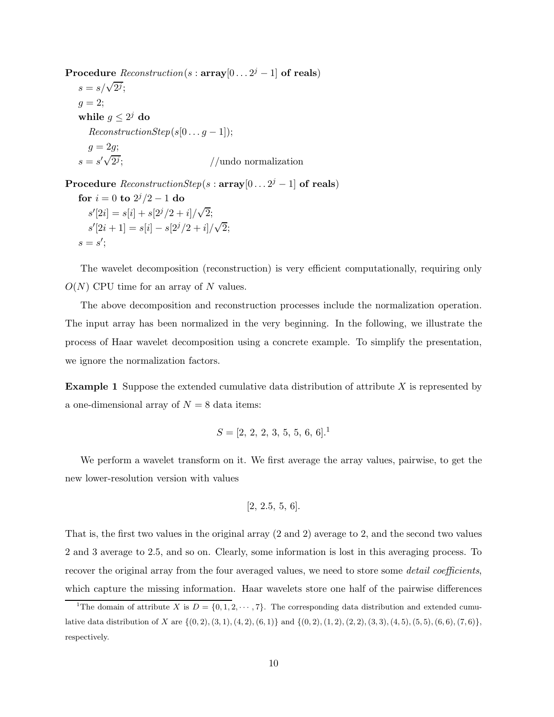**Procedure**  $Reconstruction(s: array[0... 2<sup>j</sup> - 1]$  of reals)  $s = s/\sqrt{2^j};$  $g=2;$ **while**  $g \leq 2^j$  **do**  $ReconstructionStep(s[0...g-1]);$  $g = 2g;$  $s = s'$ 2*<sup>j</sup>* ; //undo normalization

**Procedure**  $ReconstructionStep(s : array[0... 2<sup>j</sup> - 1]$  of reals)

**for** 
$$
i = 0
$$
 **to**  $2^{j}/2 - 1$  **do**  
\n $s'[2i] = s[i] + s[2^{j}/2 + i]/\sqrt{2};$   
\n $s'[2i + 1] = s[i] - s[2^{j}/2 + i]/\sqrt{2};$   
\n $s = s';$ 

The wavelet decomposition (reconstruction) is very efficient computationally, requiring only  $O(N)$  CPU time for an array of N values.

The above decomposition and reconstruction processes include the normalization operation. The input array has been normalized in the very beginning. In the following, we illustrate the process of Haar wavelet decomposition using a concrete example. To simplify the presentation, we ignore the normalization factors.

**Example 1** Suppose the extended cumulative data distribution of attribute X is represented by a one-dimensional array of  $N = 8$  data items:

$$
S = [2, 2, 2, 3, 5, 5, 6, 6].1
$$

We perform a wavelet transform on it. We first average the array values, pairwise, to get the new lower-resolution version with values

$$
[2, 2.5, 5, 6].
$$

That is, the first two values in the original array (2 and 2) average to 2, and the second two values 2 and 3 average to 2.5, and so on. Clearly, some information is lost in this averaging process. To recover the original array from the four averaged values, we need to store some *detail coefficients*, which capture the missing information. Haar wavelets store one half of the pairwise differences

<sup>&</sup>lt;sup>1</sup>The domain of attribute *X* is  $D = \{0, 1, 2, \cdots, 7\}$ . The corresponding data distribution and extended cumulative data distribution of X are  $\{(0,2), (3,1), (4,2), (6,1)\}$  and  $\{(0,2), (1,2), (2,2), (3,3), (4,5), (5,5), (6,6), (7,6)\},$ respectively.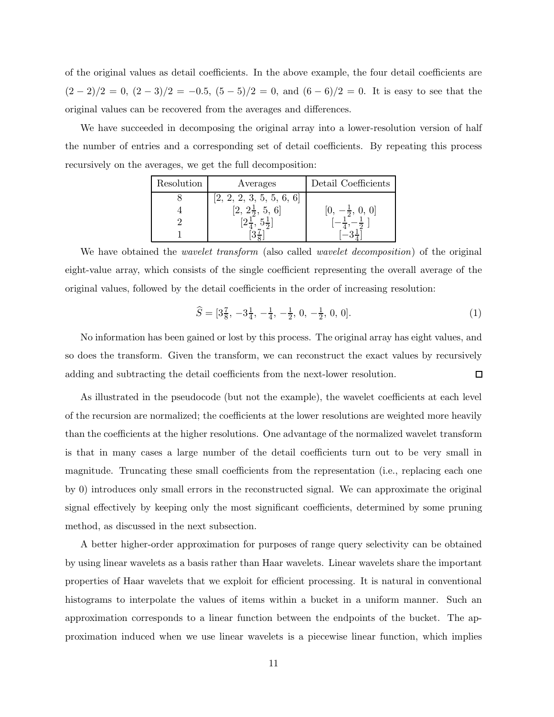of the original values as detail coefficients. In the above example, the four detail coefficients are  $(2-2)/2 = 0$ ,  $(2-3)/2 = -0.5$ ,  $(5-5)/2 = 0$ , and  $(6-6)/2 = 0$ . It is easy to see that the original values can be recovered from the averages and differences.

We have succeeded in decomposing the original array into a lower-resolution version of half the number of entries and a corresponding set of detail coefficients. By repeating this process recursively on the averages, we get the full decomposition:

| Resolution | Averages                          | Detail Coefficients |
|------------|-----------------------------------|---------------------|
|            | $[2,\,2,\,2,\,3,\,5,\,5,\,6,\,6]$ |                     |
|            |                                   |                     |
|            |                                   |                     |
|            |                                   |                     |

We have obtained the *wavelet transform* (also called *wavelet decomposition*) of the original eight-value array, which consists of the single coefficient representing the overall average of the original values, followed by the detail coefficients in the order of increasing resolution:

$$
\widehat{S} = [3\frac{7}{8}, -3\frac{1}{4}, -\frac{1}{4}, -\frac{1}{2}, 0, -\frac{1}{2}, 0, 0].
$$
\n(1)

No information has been gained or lost by this process. The original array has eight values, and so does the transform. Given the transform, we can reconstruct the exact values by recursively adding and subtracting the detail coefficients from the next-lower resolution. ◻

As illustrated in the pseudocode (but not the example), the wavelet coefficients at each level of the recursion are normalized; the coefficients at the lower resolutions are weighted more heavily than the coefficients at the higher resolutions. One advantage of the normalized wavelet transform is that in many cases a large number of the detail coefficients turn out to be very small in magnitude. Truncating these small coefficients from the representation (i.e., replacing each one by 0) introduces only small errors in the reconstructed signal. We can approximate the original signal effectively by keeping only the most significant coefficients, determined by some pruning method, as discussed in the next subsection.

A better higher-order approximation for purposes of range query selectivity can be obtained by using linear wavelets as a basis rather than Haar wavelets. Linear wavelets share the important properties of Haar wavelets that we exploit for efficient processing. It is natural in conventional histograms to interpolate the values of items within a bucket in a uniform manner. Such an approximation corresponds to a linear function between the endpoints of the bucket. The approximation induced when we use linear wavelets is a piecewise linear function, which implies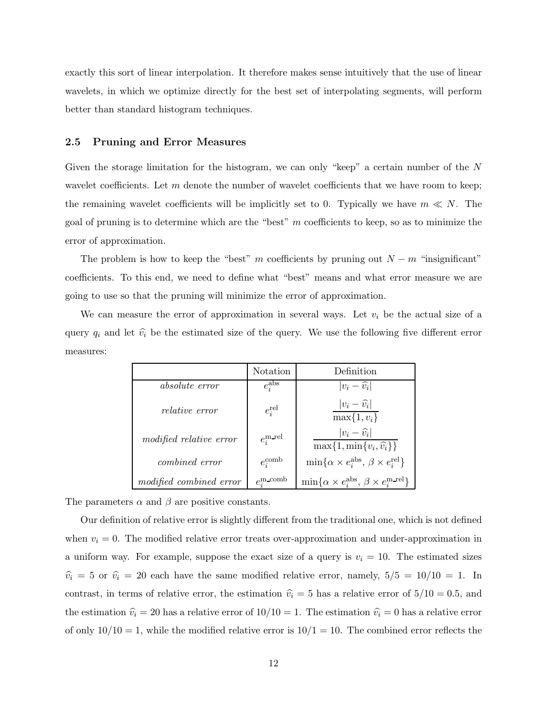exactly this sort of linear interpolation. It therefore makes sense intuitively that the use of linear wavelets, in which we optimize directly for the best set of interpolating segments, will perform better than standard histogram techniques.

#### **2.5 Pruning and Error Measures**

Given the storage limitation for the histogram, we can only "keep" a certain number of the N wavelet coefficients. Let  $m$  denote the number of wavelet coefficients that we have room to keep; the remaining wavelet coefficients will be implicitly set to 0. Typically we have  $m \ll N$ . The goal of pruning is to determine which are the "best"  $m$  coefficients to keep, so as to minimize the error of approximation.

The problem is how to keep the "best" m coefficients by pruning out  $N - m$  "insignificant" coefficients. To this end, we need to define what "best" means and what error measure we are going to use so that the pruning will minimize the error of approximation.

We can measure the error of approximation in several ways. Let  $v_i$  be the actual size of a query  $q_i$  and let  $\hat{v}_i$  be the estimated size of the query. We use the following five different error measures:

|                         | Notation                     | Definition                                                                 |
|-------------------------|------------------------------|----------------------------------------------------------------------------|
| absolute error          | $e_i^{\text{abs}}$           | $ v_i - \widehat{v_i} $                                                    |
| <i>relative error</i>   | $e_i^{\text{rel}}$           | $ v_i - \widehat{v_i} $<br>$\max\{1, v_i\}$                                |
| modified relative error | $e_i^{\text{m-rel}}$         | $ v_i - \widehat{v}_i $<br>$\max\{1,\min\{v_i,\hat{v}_i\}\}\$              |
| <i>combined error</i>   | $e_i^{\text{comb}}$          | $\min\{\alpha \times e_i^{\text{abs}}, \beta \times e_i^{\text{rel}}\}\$   |
| modified combined error | $e_i^{\text{m}.\text{comb}}$ | $\min\{\alpha \times e_i^{\text{abs}}, \beta \times e_i^{\text{m-rel}}\}\$ |

The parameters  $\alpha$  and  $\beta$  are positive constants.

Our definition of relative error is slightly different from the traditional one, which is not defined when  $v_i = 0$ . The modified relative error treats over-approximation and under-approximation in a uniform way. For example, suppose the exact size of a query is  $v_i = 10$ . The estimated sizes  $\hat{v}_i = 5$  or  $\hat{v}_i = 20$  each have the same modified relative error, namely,  $5/5 = 10/10 = 1$ . In contrast, in terms of relative error, the estimation  $\hat{v}_i = 5$  has a relative error of  $5/10 = 0.5$ , and the estimation  $\hat{v}_i = 20$  has a relative error of  $10/10 = 1$ . The estimation  $\hat{v}_i = 0$  has a relative error of only  $10/10 = 1$ , while the modified relative error is  $10/1 = 10$ . The combined error reflects the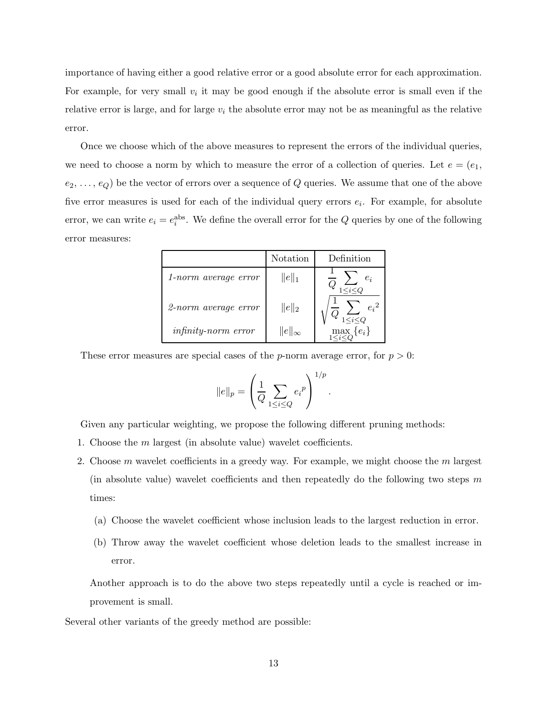importance of having either a good relative error or a good absolute error for each approximation. For example, for very small  $v_i$  it may be good enough if the absolute error is small even if the relative error is large, and for large  $v_i$  the absolute error may not be as meaningful as the relative error.

Once we choose which of the above measures to represent the errors of the individual queries, we need to choose a norm by which to measure the error of a collection of queries. Let  $e = (e_1,$  $(e_2, \ldots, e_Q)$  be the vector of errors over a sequence of Q queries. We assume that one of the above five error measures is used for each of the individual query errors e*i*. For example, for absolute error, we can write  $e_i = e_i^{\text{abs}}$ . We define the overall error for the Q queries by one of the following error measures:

|                            | <b>Notation</b>  | Definition                       |
|----------------------------|------------------|----------------------------------|
| 1-norm average error       | $  e  _1$        | $e_i$                            |
| 2-norm average error       | $  e  _2$        | ${e_i}^2$                        |
| <i>infinity-norm error</i> | $  e  _{\infty}$ | $\max_{1 \leq i \leq O} \{e_i\}$ |

These error measures are special cases of the *p*-norm average error, for  $p > 0$ :

$$
||e||_p = \left(\frac{1}{Q} \sum_{1 \le i \le Q} e_i^p\right)^{1/p}.
$$

Given any particular weighting, we propose the following different pruning methods:

- 1. Choose the m largest (in absolute value) wavelet coefficients.
- 2. Choose m wavelet coefficients in a greedy way. For example, we might choose the m largest (in absolute value) wavelet coefficients and then repeatedly do the following two steps  $m$ times:
	- (a) Choose the wavelet coefficient whose inclusion leads to the largest reduction in error.
	- (b) Throw away the wavelet coefficient whose deletion leads to the smallest increase in error.

Another approach is to do the above two steps repeatedly until a cycle is reached or improvement is small.

Several other variants of the greedy method are possible: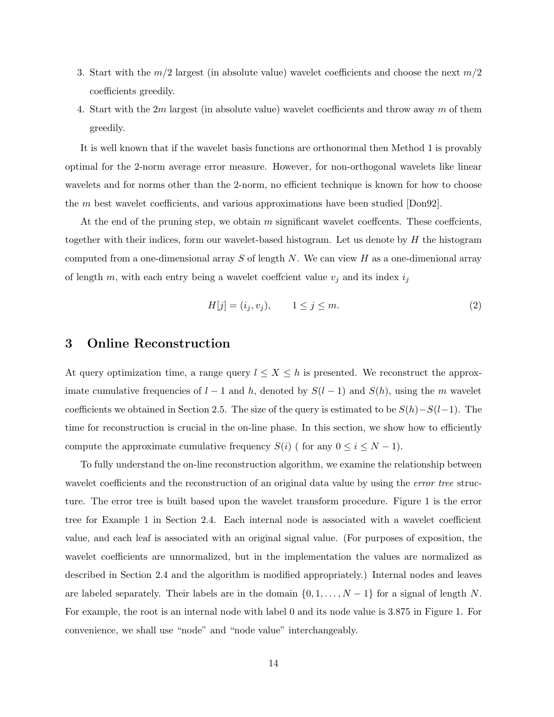- 3. Start with the  $m/2$  largest (in absolute value) wavelet coefficients and choose the next  $m/2$ coefficients greedily.
- 4. Start with the 2m largest (in absolute value) wavelet coefficients and throw away m of them greedily.

It is well known that if the wavelet basis functions are orthonormal then Method 1 is provably optimal for the 2-norm average error measure. However, for non-orthogonal wavelets like linear wavelets and for norms other than the 2-norm, no efficient technique is known for how to choose the  $m$  best wavelet coefficients, and various approximations have been studied  $[Don92]$ .

At the end of the pruning step, we obtain  $m$  significant wavelet coeffcents. These coeffcients, together with their indices, form our wavelet-based histogram. Let us denote by  $H$  the histogram computed from a one-dimensional array  $S$  of length  $N$ . We can view  $H$  as a one-dimenional array of length m, with each entry being a wavelet coeffcient value  $v_j$  and its index  $i_j$ 

$$
H[j] = (i_j, v_j), \qquad 1 \le j \le m. \tag{2}
$$

## **3 Online Reconstruction**

At query optimization time, a range query  $l \leq X \leq h$  is presented. We reconstruct the approximate cumulative frequencies of  $l-1$  and h, denoted by  $S(l-1)$  and  $S(h)$ , using the m wavelet coefficients we obtained in Section 2.5. The size of the query is estimated to be  $S(h)-S(l-1)$ . The time for reconstruction is crucial in the on-line phase. In this section, we show how to efficiently compute the approximate cumulative frequency  $S(i)$  ( for any  $0 \le i \le N - 1$ ).

To fully understand the on-line reconstruction algorithm, we examine the relationship between wavelet coefficients and the reconstruction of an original data value by using the *error tree* structure. The error tree is built based upon the wavelet transform procedure. Figure 1 is the error tree for Example 1 in Section 2.4. Each internal node is associated with a wavelet coefficient value, and each leaf is associated with an original signal value. (For purposes of exposition, the wavelet coefficients are unnormalized, but in the implementation the values are normalized as described in Section 2.4 and the algorithm is modified appropriately.) Internal nodes and leaves are labeled separately. Their labels are in the domain  $\{0, 1, \ldots, N-1\}$  for a signal of length N. For example, the root is an internal node with label 0 and its node value is 3.875 in Figure 1. For convenience, we shall use "node" and "node value" interchangeably.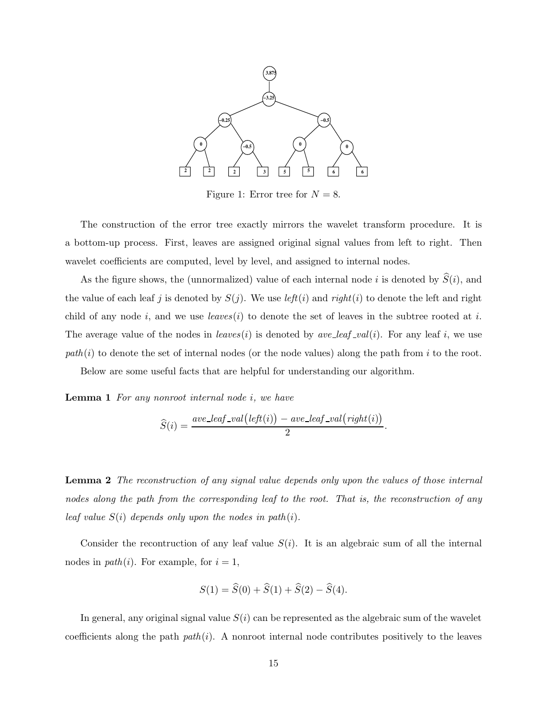

Figure 1: Error tree for  $N = 8$ .

The construction of the error tree exactly mirrors the wavelet transform procedure. It is a bottom-up process. First, leaves are assigned original signal values from left to right. Then wavelet coefficients are computed, level by level, and assigned to internal nodes.

As the figure shows, the (unnormalized) value of each internal node  $i$  is denoted by  $S(i)$ , and the value of each leaf j is denoted by  $S(j)$ . We use  $left(i)$  and  $right(i)$  to denote the left and right child of any node  $i$ , and we use  $leaves(i)$  to denote the set of leaves in the subtree rooted at  $i$ . The average value of the nodes in  $leaves(i)$  is denoted by  $ave\_leaf\_val(i)$ . For any leaf i, we use  $path(i)$  to denote the set of internal nodes (or the node values) along the path from i to the root.

Below are some useful facts that are helpful for understanding our algorithm.

**Lemma 1** *For any nonroot internal node* i*, we have*

$$
\widehat{S}(i) = \frac{ave\_leaf\_val\big(left(i)\big) - ave\_leaf\_val\big(right(i)\big)}{2}.
$$

**Lemma 2** *The reconstruction of any signal value depends only upon the values of those internal nodes along the path from the corresponding leaf to the root. That is, the reconstruction of any leaf value* S(i) *depends only upon the nodes in path*(i)*.*

Consider the recontruction of any leaf value  $S(i)$ . It is an algebraic sum of all the internal nodes in  $path(i)$ . For example, for  $i = 1$ ,

$$
S(1) = \hat{S}(0) + \hat{S}(1) + \hat{S}(2) - \hat{S}(4).
$$

In general, any original signal value  $S(i)$  can be represented as the algebraic sum of the wavelet coefficients along the path *path*(i). A nonroot internal node contributes positively to the leaves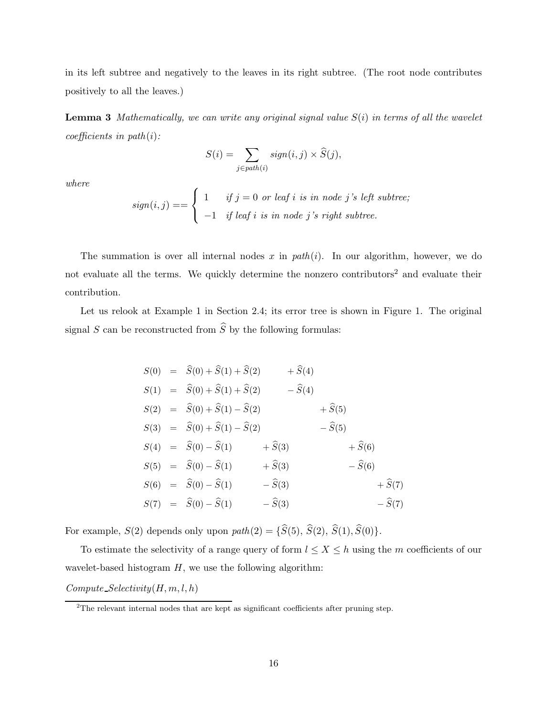in its left subtree and negatively to the leaves in its right subtree. (The root node contributes positively to all the leaves.)

**Lemma 3** *Mathematically, we can write any original signal value* S(i) *in terms of all the wavelet coefficients in path*(i)*:*

$$
S(i) = \sum_{j \in path(i)} sign(i, j) \times \widehat{S}(j),
$$

*where*

$$
sign(i, j) == \begin{cases} 1 & if j = 0 \text{ or leaf } i \text{ is in node } j's \text{ left subtree;} \\ -1 & if leaf i \text{ is in node } j's \text{ right subtree.} \end{cases}
$$

The summation is over all internal nodes x in  $path(i)$ . In our algorithm, however, we do not evaluate all the terms. We quickly determine the nonzero contributors<sup>2</sup> and evaluate their contribution.

Let us relook at Example 1 in Section 2.4; its error tree is shown in Figure 1. The original signal  $S$  can be reconstructed from  $S$  by the following formulas:

$$
S(0) = \hat{S}(0) + \hat{S}(1) + \hat{S}(2) + \hat{S}(4)
$$
  
\n
$$
S(1) = \hat{S}(0) + \hat{S}(1) + \hat{S}(2) - \hat{S}(4)
$$
  
\n
$$
S(2) = \hat{S}(0) + \hat{S}(1) - \hat{S}(2) + \hat{S}(5)
$$
  
\n
$$
S(3) = \hat{S}(0) + \hat{S}(1) - \hat{S}(2) - \hat{S}(5)
$$
  
\n
$$
S(4) = \hat{S}(0) - \hat{S}(1) + \hat{S}(3) + \hat{S}(6)
$$
  
\n
$$
S(5) = \hat{S}(0) - \hat{S}(1) + \hat{S}(3) - \hat{S}(6)
$$
  
\n
$$
S(6) = \hat{S}(0) - \hat{S}(1) - \hat{S}(3) + \hat{S}(7)
$$
  
\n
$$
S(7) = \hat{S}(0) - \hat{S}(1) - \hat{S}(3) - \hat{S}(7)
$$

For example,  $S(2)$  depends only upon  $path(2) = \{S(5), S(2), S(1), S(0)\}.$ 

To estimate the selectivity of a range query of form  $l \leq X \leq h$  using the m coefficients of our wavelet-based histogram  $H$ , we use the following algorithm:

 $Compute\_Selectivity(H, m, l, h)$ 

<sup>&</sup>lt;sup>2</sup>The relevant internal nodes that are kept as significant coefficients after pruning step.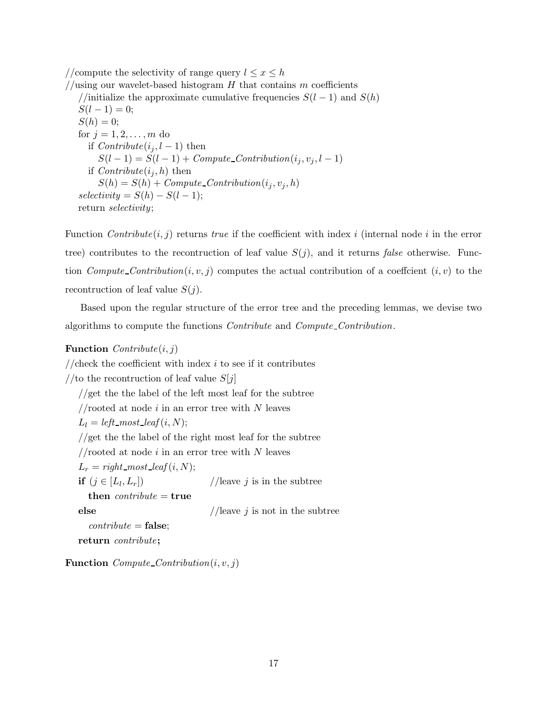//compute the selectivity of range query  $l \leq x \leq h$ //using our wavelet-based histogram  $H$  that contains  $m$  coefficients //initialize the approximate cumulative frequencies  $S(l-1)$  and  $S(h)$  $S(l-1)=0;$  $S(h) = 0;$ for  $j = 1, 2, ..., m$  do if  $Contribute(i<sub>i</sub>, l - 1)$  then  $S(l-1) = S(l-1) + Compute\_Contribution(i<sub>j</sub>, v<sub>j</sub>, l-1)$ if  $Contribute(i<sub>i</sub>, h)$  then  $S(h) = S(h) + Compute\_Contribution(i<sub>i</sub>, v<sub>j</sub>, h)$  $selectivity = S(h) - S(l-1);$ return *selectivity*;

Function *Contribute* $(i, j)$  returns *true* if the coefficient with index i (internal node i in the error tree) contributes to the recontruction of leaf value  $S(j)$ , and it returns *false* otherwise. Function *Compute Contribution* $(i, v, j)$  computes the actual contribution of a coeffcient  $(i, v)$  to the recontruction of leaf value  $S(j)$ .

Based upon the regular structure of the error tree and the preceding lemmas, we devise two algorithms to compute the functions *Contribute* and *Compute Contribution*.

#### **Function** *Contribute*(i, j)

//check the coefficient with index  $i$  to see if it contributes //to the recontruction of leaf value  $S[j]$ //get the the label of the left most leaf for the subtree //rooted at node  $i$  in an error tree with N leaves  $L_l = left \text{most} \text{.} leaf(i, N);$ //get the the label of the right most leaf for the subtree //rooted at node  $i$  in an error tree with  $N$  leaves  $L_r = right \text{most}\text{ of } (i,N);$ **if**  $(j \in [L_l, L_r])$  //leave j is in the subtree **then** *contribute* = **true else** //leave *j* is not in the subtree *contribute* = **false**; **return** *contribute***;**

**Function**  $Compute\_Contribution(i, v, j)$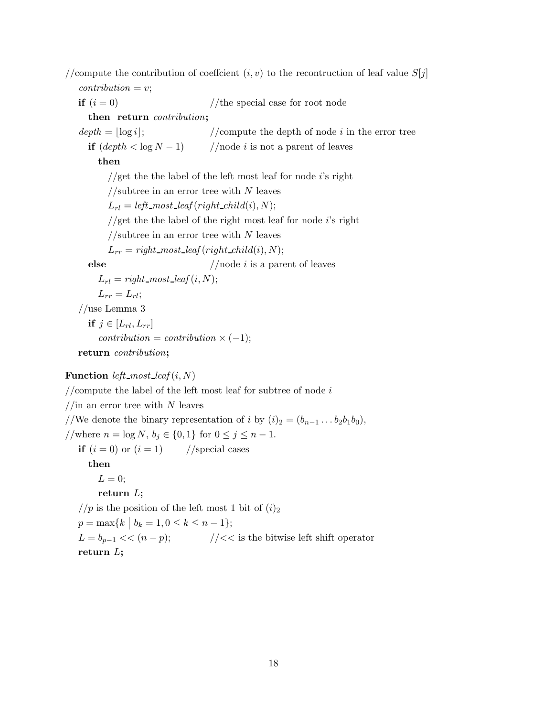//compute the contribution of coeffcient  $(i, v)$  to the recontruction of leaf value  $S[j]$  $contribution = v;$ **if**  $(i = 0)$  //the special case for root node **then return** *contribution***;**  $depth = |log i|$ ; //compute the depth of node  $i$  in the error tree **if**  $(\text{depth} < \log N - 1)$  //node *i* is not a parent of leaves **then** //get the the label of the left most leaf for node  $i$ 's right //subtree in an error tree with  $N$  leaves  $L_{rl} = left \text{--} most \text{--} leaf (right \text{--} child(i), N);$  $1$  get the the label of the right most leaf for node is right //subtree in an error tree with  $N$  leaves  $L_{rr}$  = *right\_most\_leaf* (*right\_child*(*i*), *N*); **else** //node *i* is a parent of leaves  $L_{rl} = right \cdot most \cdot leaf(i, N);$  $L_{rr} = L_{rl}$ ; //use Lemma 3 **if**  $j \in [L_{rl}, L_{rr}]$  $contribution = contribution \times (-1);$ **return** *contribution***;**

## **Function** *left\_most\_leaf*  $(i, N)$

//compute the label of the left most leaf for subtree of node  $i$  $1/$ in an error tree with N leaves //We denote the binary representation of i by  $(i)_2 = (b_{n-1} \dots b_2 b_1 b_0),$ //where  $n = \log N, b_j \in \{0, 1\}$  for  $0 \le j \le n - 1$ . **if**  $(i = 0)$  or  $(i = 1)$  //special cases **then**  $L = 0;$ **return** L**;** //p is the position of the left most 1 bit of  $(i)_2$ 

 $p = \max\{k \mid b_k = 1, 0 \le k \le n - 1\};$  $L = b_{p-1} \ll (n-p);$  // $\ll$  is the bitwise left shift operator **return** L**;**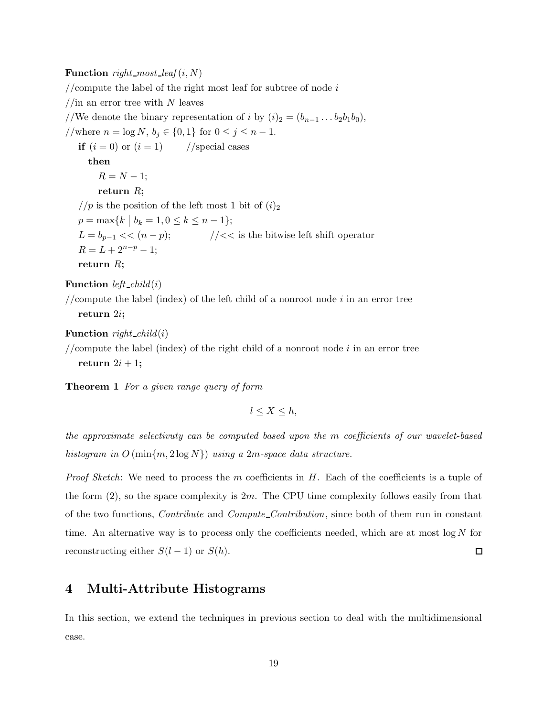#### **Function** *right\_most\_leaf*  $(i, N)$

//compute the label of the right most leaf for subtree of node  $i$ //in an error tree with  $N$  leaves //We denote the binary representation of i by  $(i)_2 = (b_{n-1} \ldots b_2 b_1 b_0)$ , //where  $n = \log N, b_j \in \{0, 1\}$  for  $0 \le j \le n - 1$ . **if**  $(i = 0)$  or  $(i = 1)$  //special cases **then**  $R = N - 1;$ **return** R**;** //p is the position of the left most 1 bit of  $(i)_2$  $p = \max\{k \mid b_k = 1, 0 \le k \le n - 1\};$  $L = b_{p-1} \ll (n-p);$  // $\ll$  is the bitwise left shift operator  $R = L + 2^{n-p} - 1;$ **return** R**; Function** *left\_child*(*i*)

//compute the label (index) of the left child of a nonroot node  $i$  in an error tree **return** 2i**;**

#### **Function** *right child*(i)

//compute the label (index) of the right child of a nonroot node  $i$  in an error tree return  $2i + 1$ ;

**Theorem 1** *For a given range query of form*

 $l \leq X \leq h$ ,

*the approximate selectivuty can be computed based upon the* m *coefficients of our wavelet-based histogram in* O (min{m, 2 log N}) *using a* 2m*-space data structure.*

*Proof Sketch*: We need to process the m coefficients in H. Each of the coefficients is a tuple of the form  $(2)$ , so the space complexity is  $2m$ . The CPU time complexity follows easily from that of the two functions, *Contribute* and *Compute Contribution*, since both of them run in constant time. An alternative way is to process only the coefficients needed, which are at most  $\log N$  for reconstructing either  $S(l-1)$  or  $S(h)$ .  $\Box$ 

## **4 Multi-Attribute Histograms**

In this section, we extend the techniques in previous section to deal with the multidimensional case.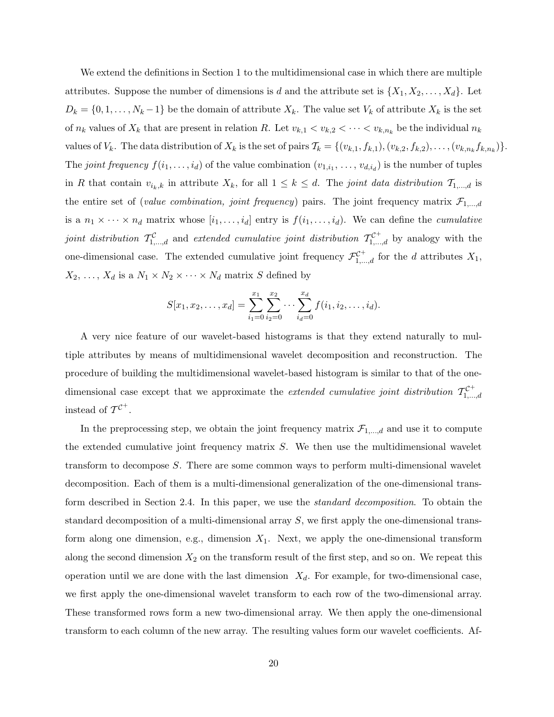We extend the definitions in Section 1 to the multidimensional case in which there are multiple attributes. Suppose the number of dimensions is d and the attribute set is  $\{X_1, X_2, \ldots, X_d\}$ . Let  $D_k = \{0, 1, \ldots, N_k - 1\}$  be the domain of attribute  $X_k$ . The value set  $V_k$  of attribute  $X_k$  is the set of  $n_k$  values of  $X_k$  that are present in relation R. Let  $v_{k,1} < v_{k,2} < \cdots < v_{k,n_k}$  be the individual  $n_k$ values of  $V_k$ . The data distribution of  $X_k$  is the set of pairs  $\mathcal{T}_k = \{(v_{k,1}, f_{k,1}), (v_{k,2}, f_{k,2}), \ldots, (v_{k,n_k}f_{k,n_k})\}.$ The *joint frequency*  $f(i_1, \ldots, i_d)$  of the value combination  $(v_{1,i_1}, \ldots, v_{d,i_d})$  is the number of tuples in R that contain  $v_{i_k,k}$  in attribute  $X_k$ , for all  $1 \leq k \leq d$ . The *joint data distribution*  $\mathcal{T}_{1,\ldots,d}$  is the entire set of (*value combination, joint frequency*) pairs. The joint frequency matrix  $\mathcal{F}_{1,\dots,d}$ is a  $n_1 \times \cdots \times n_d$  matrix whose  $[i_1, \ldots, i_d]$  entry is  $f(i_1, \ldots, i_d)$ . We can define the *cumulative joint distribution*  $T_{1,...,d}^{\mathcal{C}}$  and *extended cumulative joint distribution*  $T_{1,...,d}^{\mathcal{C}^+}$  by analogy with the one-dimensional case. The extended cumulative joint frequency  $\mathcal{F}_{1,\dots,d}^{\mathcal{C}^+}$  for the d attributes  $X_1$ ,  $X_2, \ldots, X_d$  is a  $N_1 \times N_2 \times \cdots \times N_d$  matrix S defined by

$$
S[x_1, x_2, \dots, x_d] = \sum_{i_1=0}^{x_1} \sum_{i_2=0}^{x_2} \dots \sum_{i_d=0}^{x_d} f(i_1, i_2, \dots, i_d).
$$

A very nice feature of our wavelet-based histograms is that they extend naturally to multiple attributes by means of multidimensional wavelet decomposition and reconstruction. The procedure of building the multidimensional wavelet-based histogram is similar to that of the onedimensional case except that we approximate the *extended cumulative joint distribution*  $T_{1,...,d}^{\mathcal{C}^+}$ instead of  $T^{C^+}$ .

In the preprocessing step, we obtain the joint frequency matrix  $\mathcal{F}_{1,\dots,d}$  and use it to compute the extended cumulative joint frequency matrix S. We then use the multidimensional wavelet transform to decompose S. There are some common ways to perform multi-dimensional wavelet decomposition. Each of them is a multi-dimensional generalization of the one-dimensional transform described in Section 2.4. In this paper, we use the *standard decomposition*. To obtain the standard decomposition of a multi-dimensional array S, we first apply the one-dimensional transform along one dimension, e.g., dimension  $X_1$ . Next, we apply the one-dimensional transform along the second dimension  $X_2$  on the transform result of the first step, and so on. We repeat this operation until we are done with the last dimension  $X_d$ . For example, for two-dimensional case, we first apply the one-dimensional wavelet transform to each row of the two-dimensional array. These transformed rows form a new two-dimensional array. We then apply the one-dimensional transform to each column of the new array. The resulting values form our wavelet coefficients. Af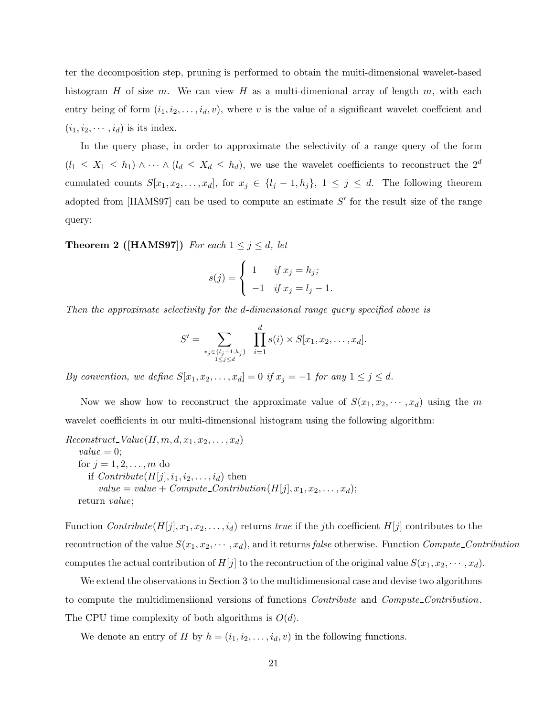ter the decomposition step, pruning is performed to obtain the muiti-dimensional wavelet-based histogram H of size m. We can view H as a multi-dimenional array of length m, with each entry being of form  $(i_1, i_2, \ldots, i_d, v)$ , where v is the value of a significant wavelet coeffcient and  $(i_1, i_2, \dots, i_d)$  is its index.

In the query phase, in order to approximate the selectivity of a range query of the form  $(l_1 \leq X_1 \leq h_1) \wedge \cdots \wedge (l_d \leq X_d \leq h_d)$ , we use the wavelet coefficients to reconstruct the  $2^d$ cumulated counts  $S[x_1, x_2,...,x_d]$ , for  $x_j \in \{l_j-1, h_j\}$ ,  $1 \leq j \leq d$ . The following theorem adopted from [HAMS97] can be used to compute an estimate  $S'$  for the result size of the range query:

**Theorem 2 ([HAMS97])** *For each*  $1 \leq j \leq d$ *, let* 

$$
s(j) = \begin{cases} 1 & \text{if } x_j = h_j; \\ -1 & \text{if } x_j = l_j - 1. \end{cases}
$$

*Then the approximate selectivity for the* d*-dimensional range query specified above is*

$$
S' = \sum_{\substack{x_j \in \{l_j - 1, h_j\} \\ 1 \le j \le d}} \prod_{i = 1}^d s(i) \times S[x_1, x_2, \dots, x_d].
$$

*By convention, we define*  $S[x_1, x_2, \ldots, x_d] = 0$  *if*  $x_j = -1$  *for any*  $1 \leq j \leq d$ *.* 

Now we show how to reconstruct the approximate value of  $S(x_1, x_2, \dots, x_d)$  using the m wavelet coefficients in our multi-dimensional histogram using the following algorithm:

 $Reconstruct\_Value(H, m, d, x_1, x_2, \ldots, x_d)$  $value = 0$ ; for  $j = 1, 2, ..., m$  do if  $\textit{Contribute}(H[j], i_1, i_2, \ldots, i_d)$  then  $value = value + Compute\_Contribution(H[j], x_1, x_2, \ldots, x_d);$ return *value*;

Function *Contribute*( $H[j], x_1, x_2, \ldots, i_d$ ) returns *true* if the *j*th coefficient  $H[j]$  contributes to the recontruction of the value  $S(x_1, x_2, \dots, x_d)$ , and it returns *false* otherwise. Function *Compute Contribution* computes the actual contribution of  $H[j]$  to the recontruction of the original value  $S(x_1, x_2, \dots, x_d)$ .

We extend the observations in Section 3 to the multidimensional case and devise two algorithms to compute the multidimensiional versions of functions *Contribute* and *Compute Contribution*. The CPU time complexity of both algorithms is  $O(d)$ .

We denote an entry of H by  $h = (i_1, i_2, \ldots, i_d, v)$  in the following functions.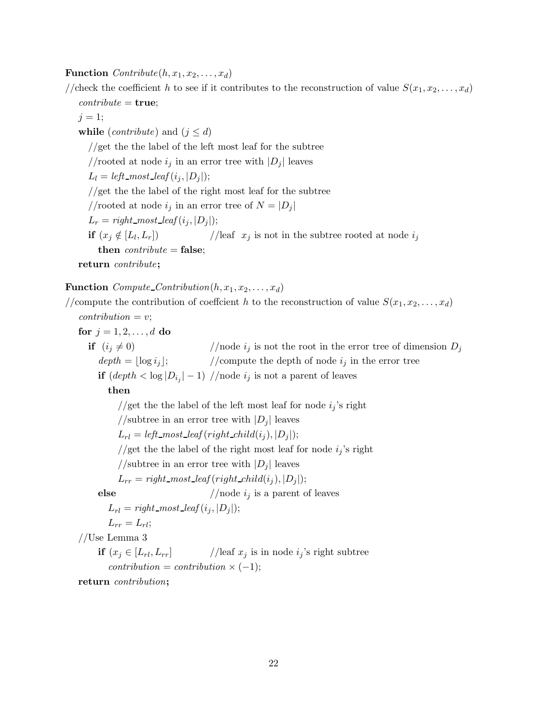**Function**  $\text{Contribute}(h, x_1, x_2, \ldots, x_d)$ 

//check the coefficient h to see if it contributes to the reconstruction of value  $S(x_1, x_2, \ldots, x_d)$ 

 $\textit{contribute} = \textbf{true};$  $j = 1;$ **while** (*contribute*) and ( $j \leq d$ ) //get the the label of the left most leaf for the subtree //rooted at node  $i_j$  in an error tree with  $|D_j|$  leaves  $L_l = left \text{most\_leaf}(i_j, |D_j|);$ //get the the label of the right most leaf for the subtree //rooted at node  $i_j$  in an error tree of  $N = |D_j|$  $L_r = right\_most\_leaf(i_j, |D_j|);$ **if**  $(x_j \notin [L_l, L_r])$  //leaf  $x_j$  is not in the subtree rooted at node  $i_j$ **then** *contribute* = **false**; **return** *contribute***;**

**Function**  $Compute\_Contribution(h, x_1, x_2, \ldots, x_d)$ 

//compute the contribution of coeffcient h to the reconstruction of value  $S(x_1, x_2, \ldots, x_d)$  $contribution = v$ ; **for**  $j = 1, 2, ..., d$  **do if**  $(i_j \neq 0)$  //node  $i_j$  is not the root in the error tree of dimension  $D_j$  $depth = \lfloor \log i_j \rfloor;$  //compute the depth of node  $i_j$  in the error tree **if**  $\left(\frac{depth}{10} |D_{i_j}| - 1\right)$  //node  $i_j$  is not a parent of leaves **then** //get the the label of the left most leaf for node  $i_j$ 's right //subtree in an error tree with  $|D_j|$  leaves  $L_{rl} = left\_most\_leaf(right\_child(i_j), |D_j|);$ //get the the label of the right most leaf for node  $i_j$ 's right //subtree in an error tree with  $|D_i|$  leaves  $L_{rr} = right \text{most\_leaf}(right\_child(i_j), |D_j|);$ **else** //node  $i_j$  is a parent of leaves  $L_{rl} = right \text{most\_leaf}(i_j, |D_j|);$  $L_{rr} = L_{rl}$ ; //Use Lemma 3 **if**  $(x_j \in [L_{rl}, L_{rr}]$  //leaf  $x_j$  is in node  $i_j$ 's right subtree  $contribution = contribution \times (-1);$ 

**return** *contribution***;**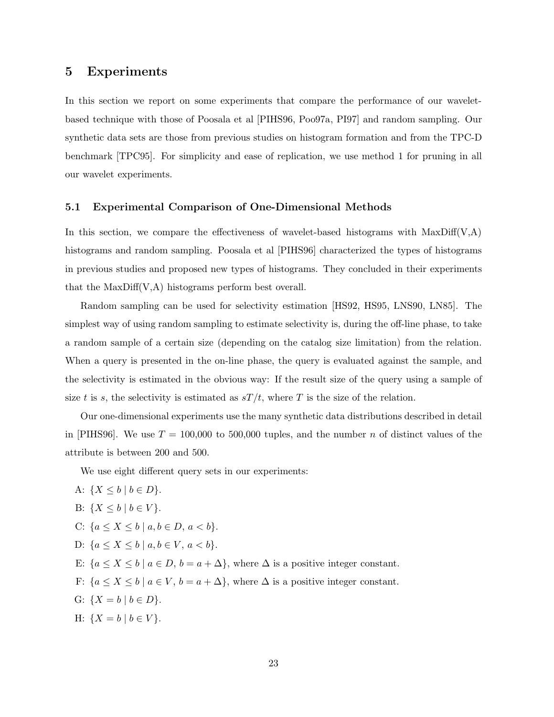## **5 Experiments**

In this section we report on some experiments that compare the performance of our waveletbased technique with those of Poosala et al [PIHS96, Poo97a, PI97] and random sampling. Our synthetic data sets are those from previous studies on histogram formation and from the TPC-D benchmark [TPC95]. For simplicity and ease of replication, we use method 1 for pruning in all our wavelet experiments.

#### **5.1 Experimental Comparison of One-Dimensional Methods**

In this section, we compare the effectiveness of wavelet-based histograms with  $MaxDiff(V,A)$ histograms and random sampling. Poosala et al [PIHS96] characterized the types of histograms in previous studies and proposed new types of histograms. They concluded in their experiments that the MaxDiff(V,A) histograms perform best overall.

Random sampling can be used for selectivity estimation [HS92, HS95, LNS90, LN85]. The simplest way of using random sampling to estimate selectivity is, during the off-line phase, to take a random sample of a certain size (depending on the catalog size limitation) from the relation. When a query is presented in the on-line phase, the query is evaluated against the sample, and the selectivity is estimated in the obvious way: If the result size of the query using a sample of size t is s, the selectivity is estimated as  $sT/t$ , where T is the size of the relation.

Our one-dimensional experiments use the many synthetic data distributions described in detail in [PIHS96]. We use  $T = 100,000$  to 500,000 tuples, and the number n of distinct values of the attribute is between 200 and 500.

We use eight different query sets in our experiments:

A:  $\{X \leq b \mid b \in D\}.$ B:  $\{X \leq b \mid b \in V\}.$ C:  ${a \le X \le b \mid a, b \in D, a < b}.$ D:  ${a \le X \le b \mid a, b \in V, a < b}.$ E:  ${a \le X \le b \mid a \in D, b = a + \Delta}$ , where  $\Delta$  is a positive integer constant. F:  $\{a \le X \le b \mid a \in V, b = a + \Delta\}$ , where  $\Delta$  is a positive integer constant. G:  $\{X = b \mid b \in D\}.$ H:  $\{X = b \mid b \in V\}.$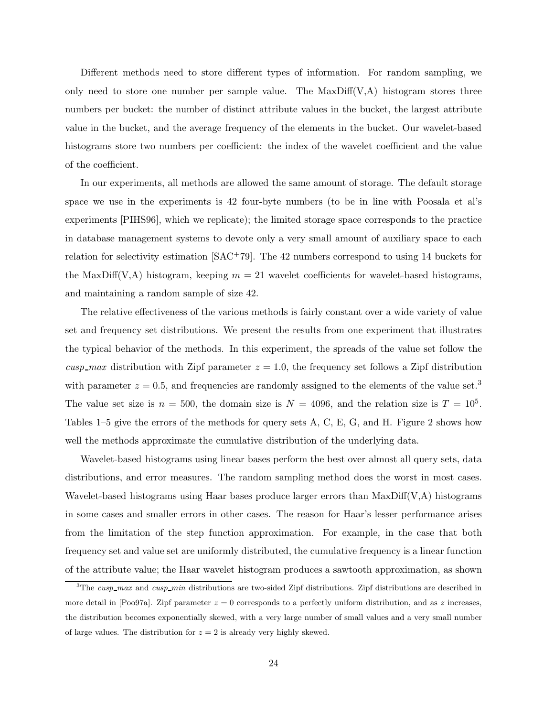Different methods need to store different types of information. For random sampling, we only need to store one number per sample value. The  $MaxDiff(V,A)$  histogram stores three numbers per bucket: the number of distinct attribute values in the bucket, the largest attribute value in the bucket, and the average frequency of the elements in the bucket. Our wavelet-based histograms store two numbers per coefficient: the index of the wavelet coefficient and the value of the coefficient.

In our experiments, all methods are allowed the same amount of storage. The default storage space we use in the experiments is 42 four-byte numbers (to be in line with Poosala et al's experiments [PIHS96], which we replicate); the limited storage space corresponds to the practice in database management systems to devote only a very small amount of auxiliary space to each relation for selectivity estimation  $[SAC^+79]$ . The 42 numbers correspond to using 14 buckets for the MaxDiff(V,A) histogram, keeping  $m = 21$  wavelet coefficients for wavelet-based histograms, and maintaining a random sample of size 42.

The relative effectiveness of the various methods is fairly constant over a wide variety of value set and frequency set distributions. We present the results from one experiment that illustrates the typical behavior of the methods. In this experiment, the spreads of the value set follow the *cusp\_max* distribution with Zipf parameter  $z = 1.0$ , the frequency set follows a Zipf distribution with parameter  $z = 0.5$ , and frequencies are randomly assigned to the elements of the value set.<sup>3</sup> The value set size is  $n = 500$ , the domain size is  $N = 4096$ , and the relation size is  $T = 10<sup>5</sup>$ . Tables 1–5 give the errors of the methods for query sets A, C, E, G, and H. Figure 2 shows how well the methods approximate the cumulative distribution of the underlying data.

Wavelet-based histograms using linear bases perform the best over almost all query sets, data distributions, and error measures. The random sampling method does the worst in most cases. Wavelet-based histograms using Haar bases produce larger errors than MaxDiff(V,A) histograms in some cases and smaller errors in other cases. The reason for Haar's lesser performance arises from the limitation of the step function approximation. For example, in the case that both frequency set and value set are uniformly distributed, the cumulative frequency is a linear function of the attribute value; the Haar wavelet histogram produces a sawtooth approximation, as shown

<sup>3</sup>The *cusp max* and *cusp min* distributions are two-sided Zipf distributions. Zipf distributions are described in more detail in [Poo97a]. Zipf parameter  $z = 0$  corresponds to a perfectly uniform distribution, and as  $z$  increases, the distribution becomes exponentially skewed, with a very large number of small values and a very small number of large values. The distribution for  $z = 2$  is already very highly skewed.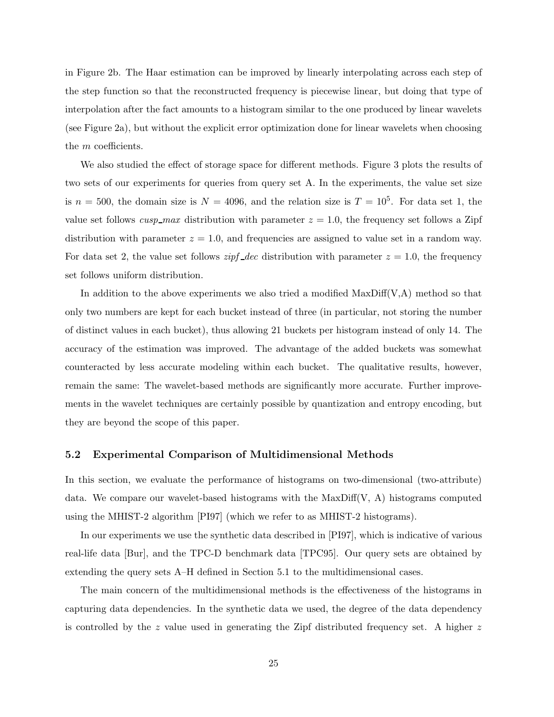in Figure 2b. The Haar estimation can be improved by linearly interpolating across each step of the step function so that the reconstructed frequency is piecewise linear, but doing that type of interpolation after the fact amounts to a histogram similar to the one produced by linear wavelets (see Figure 2a), but without the explicit error optimization done for linear wavelets when choosing the m coefficients.

We also studied the effect of storage space for different methods. Figure 3 plots the results of two sets of our experiments for queries from query set A. In the experiments, the value set size is  $n = 500$ , the domain size is  $N = 4096$ , and the relation size is  $T = 10^5$ . For data set 1, the value set follows  $cusp\_max$  distribution with parameter  $z = 1.0$ , the frequency set follows a Zipf distribution with parameter  $z = 1.0$ , and frequencies are assigned to value set in a random way. For data set 2, the value set follows *zipf*  $\Delta$ *dec* distribution with parameter  $z = 1.0$ , the frequency set follows uniform distribution.

In addition to the above experiments we also tried a modified  $MaxDiff(V,A)$  method so that only two numbers are kept for each bucket instead of three (in particular, not storing the number of distinct values in each bucket), thus allowing 21 buckets per histogram instead of only 14. The accuracy of the estimation was improved. The advantage of the added buckets was somewhat counteracted by less accurate modeling within each bucket. The qualitative results, however, remain the same: The wavelet-based methods are significantly more accurate. Further improvements in the wavelet techniques are certainly possible by quantization and entropy encoding, but they are beyond the scope of this paper.

#### **5.2 Experimental Comparison of Multidimensional Methods**

In this section, we evaluate the performance of histograms on two-dimensional (two-attribute) data. We compare our wavelet-based histograms with the  $MaxDiff(V, A)$  histograms computed using the MHIST-2 algorithm [PI97] (which we refer to as MHIST-2 histograms).

In our experiments we use the synthetic data described in [PI97], which is indicative of various real-life data [Bur], and the TPC-D benchmark data [TPC95]. Our query sets are obtained by extending the query sets A–H defined in Section 5.1 to the multidimensional cases.

The main concern of the multidimensional methods is the effectiveness of the histograms in capturing data dependencies. In the synthetic data we used, the degree of the data dependency is controlled by the z value used in generating the Zipf distributed frequency set. A higher  $z$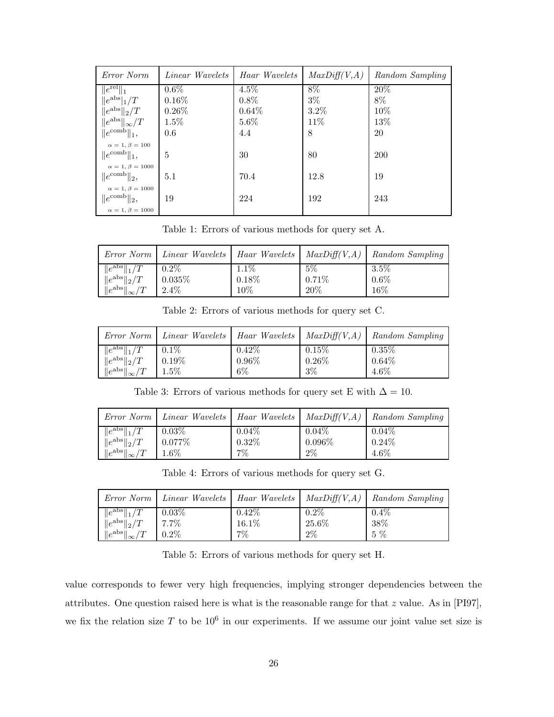| Error Norm                 | <i>Linear Wavelets</i> | Haar Wavelets | MaxDiff(V, A) | Random Sampling |
|----------------------------|------------------------|---------------|---------------|-----------------|
| $\ e^{\text{rel}}\ _1$     | $0.6\%$                | $4.5\%$       | 8%            | 20%             |
| $  e^{abs} _1/T$           | $0.16\%$               | $0.8\%$       | $3\%$         | $8\%$           |
| $\ e^{abs}\ _2/T$          | $0.26\%$               | $0.64\%$      | $3.2\%$       | 10%             |
| $  e^{abs}  _{\infty}/T$   | $1.5\%$                | 5.6%          | 11%           | 13%             |
| $  e^{\text{comb}}  _1,$   | 0.6                    | 4.4           | 8             | 20              |
| $\alpha = 1, \beta = 100$  |                        |               |               |                 |
| $  e^{\text{comb}}  _1,$   | 5                      | 30            | 80            | <b>200</b>      |
| $\alpha = 1, \beta = 1000$ |                        |               |               |                 |
| $  e^{\text{comb}}  _2,$   | 5.1                    | 70.4          | 12.8          | 19              |
| $\alpha = 1, \beta = 1000$ |                        |               |               |                 |
| $  e^{\text{comb}}  _2,$   | 19                     | 224           | 192           | 243             |
| $\alpha = 1, \beta = 1000$ |                        |               |               |                 |

Table 1: Errors of various methods for query set A.

| Error Norm                             |                      |               |                | <i>Linear Wavelets</i>   <i>Haar Wavelets</i>   $MaxDiff(V,A)$   <i>Random Sampling</i> |
|----------------------------------------|----------------------|---------------|----------------|-----------------------------------------------------------------------------------------|
| $\ e^{abs}\ _1/T$<br>$\ e^{abs}\ _2/T$ | $0.2\%$<br>$0.035\%$ | 1.1%<br>0.18% | $5\%$<br>0.71% | $3.5\%$<br>$0.6\%$                                                                      |
| $\ e^{abs}\ _{\infty}/T$               | $2.4\%$              | 10%           | 20%            | 16%                                                                                     |

Table 2: Errors of various methods for query set C.

|                                        |                  |                      |                      | Error Norm   Linear Wavelets   Haar Wavelets   Max $Diff(V, A)$   Random Sampling |
|----------------------------------------|------------------|----------------------|----------------------|-----------------------------------------------------------------------------------|
| $  e^{abs}  _1/T$<br>$\ e^{abs}\ _2/T$ | $0.1\%$<br>0.19% | $0.42\%$<br>$0.96\%$ | $0.15\%$<br>$0.26\%$ | 0.35%<br>$0.64\%$                                                                 |
| $\ e^{abs}\ _{\infty}/T$               | $1.5\%$          | $6\%$                | $3\%$                | $4.6\%$                                                                           |

Table 3: Errors of various methods for query set E with  $\Delta = 10$ .

|                          |             |          |           | $Error\ Norm \mid Linear\ Wavelets \mid Haar\ Wavelets \mid MaxDiff(V,A) \mid Random\ Sampling$ |
|--------------------------|-------------|----------|-----------|-------------------------------------------------------------------------------------------------|
| $\ e^{abs}\ _1/T$        | $0.03\%$    | $0.04\%$ | $0.04\%$  | $0.04\%$                                                                                        |
| $\ e^{abs}\ _2/T$        | $  0.077\%$ | $0.32\%$ | $0.096\%$ | $0.24\%$                                                                                        |
| $\ e^{abs}\ _{\infty}/T$ | $1.6\%$     | $7\%$    | $2\%$     | $4.6\%$                                                                                         |

Table 4: Errors of various methods for query set G.

|                              |          |          |          | $Error\ Norm \mid Linear\ Wavelets \mid Haar\ Wavelets \mid MaxDiff(V, A) \mid Random\ Sampling$ |
|------------------------------|----------|----------|----------|--------------------------------------------------------------------------------------------------|
| $\ e^{abs}\ _1/T$            | $0.03\%$ | $0.42\%$ | $0.2\%$  | $0.4\%$                                                                                          |
| $\ e^{abs}\ _2/T$            | 7.7%     | $16.1\%$ | $25.6\%$ | 38%                                                                                              |
| $\ e^{\rm abs}\ _{\infty}/T$ | $0.2\%$  | $7\%$    | $2\%$    | 5 %                                                                                              |

Table 5: Errors of various methods for query set H.

value corresponds to fewer very high frequencies, implying stronger dependencies between the attributes. One question raised here is what is the reasonable range for that  $z$  value. As in [PI97], we fix the relation size T to be  $10^6$  in our experiments. If we assume our joint value set size is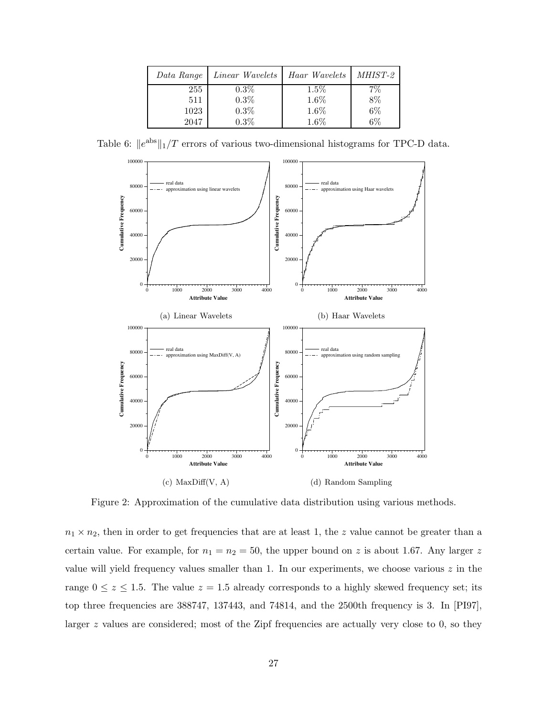| Data Range | Linear Wavelets | Haar Wavelets | <i>MHIST-2</i> |
|------------|-----------------|---------------|----------------|
| 255        | $0.3\%$         | $1.5\%$       |                |
| 511        | 0.3%            | $1.6\%$       | 8%             |
| 1023       | 0.3%            | 1.6%          | $6\%$          |
| 2047       | 0.3%            | 1.6%          | 6%             |

Table 6:  $||e^{abs}||_1/T$  errors of various two-dimensional histograms for TPC-D data.



Figure 2: Approximation of the cumulative data distribution using various methods.

 $n_1 \times n_2$ , then in order to get frequencies that are at least 1, the z value cannot be greater than a certain value. For example, for  $n_1 = n_2 = 50$ , the upper bound on z is about 1.67. Any larger z value will yield frequency values smaller than 1. In our experiments, we choose various  $z$  in the range  $0 \le z \le 1.5$ . The value  $z = 1.5$  already corresponds to a highly skewed frequency set; its top three frequencies are 388747, 137443, and 74814, and the 2500th frequency is 3. In [PI97], larger z values are considered; most of the Zipf frequencies are actually very close to 0, so they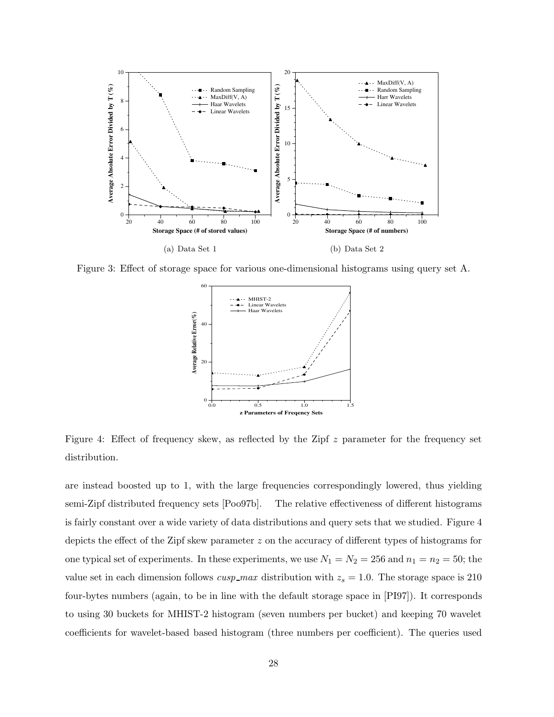

Figure 3: Effect of storage space for various one-dimensional histograms using query set A.



Figure 4: Effect of frequency skew, as reflected by the Zipf z parameter for the frequency set distribution.

are instead boosted up to 1, with the large frequencies correspondingly lowered, thus yielding semi-Zipf distributed frequency sets [Poo97b]. The relative effectiveness of different histograms is fairly constant over a wide variety of data distributions and query sets that we studied. Figure 4 depicts the effect of the Zipf skew parameter z on the accuracy of different types of histograms for one typical set of experiments. In these experiments, we use  $N_1 = N_2 = 256$  and  $n_1 = n_2 = 50$ ; the value set in each dimension follows  $cusp\_max$  distribution with  $z_s = 1.0$ . The storage space is 210 four-bytes numbers (again, to be in line with the default storage space in [PI97]). It corresponds to using 30 buckets for MHIST-2 histogram (seven numbers per bucket) and keeping 70 wavelet coefficients for wavelet-based based histogram (three numbers per coefficient). The queries used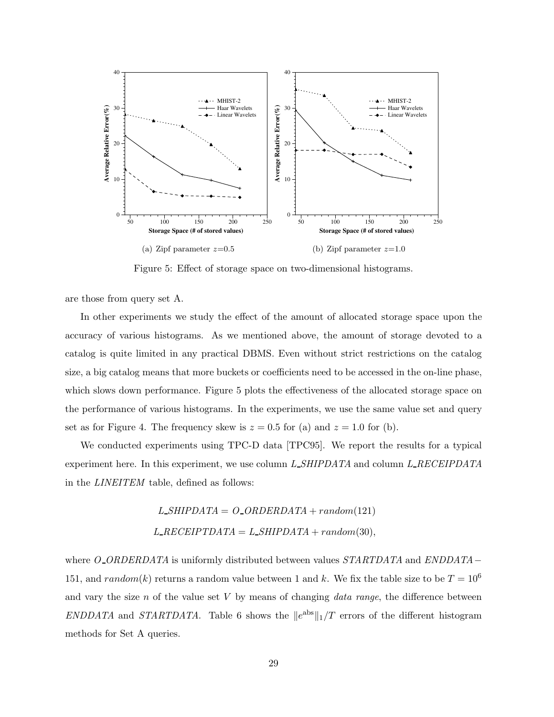

Figure 5: Effect of storage space on two-dimensional histograms.

are those from query set A.

In other experiments we study the effect of the amount of allocated storage space upon the accuracy of various histograms. As we mentioned above, the amount of storage devoted to a catalog is quite limited in any practical DBMS. Even without strict restrictions on the catalog size, a big catalog means that more buckets or coefficients need to be accessed in the on-line phase, which slows down performance. Figure 5 plots the effectiveness of the allocated storage space on the performance of various histograms. In the experiments, we use the same value set and query set as for Figure 4. The frequency skew is  $z = 0.5$  for (a) and  $z = 1.0$  for (b).

We conducted experiments using TPC-D data [TPC95]. We report the results for a typical experiment here. In this experiment, we use column *L SHIPDATA* and column *L RECEIPDATA* in the *LINEITEM* table, defined as follows:

$$
L\_SHIPDATA = O\_ORDERDATA + random(121)
$$

$$
L\_RECEIPTDATA = L\_SHIPDATA + random(30),
$$

where *O ORDERDATA* is uniformly distributed between values *STARTDATA* and *ENDDATA*− 151, and  $random(k)$  returns a random value between 1 and k. We fix the table size to be  $T = 10^6$ and vary the size n of the value set V by means of changing *data range*, the difference between *ENDDATA* and *STARTDATA*. Table 6 shows the  $\|e^{abs}\|_1/T$  errors of the different histogram methods for Set A queries.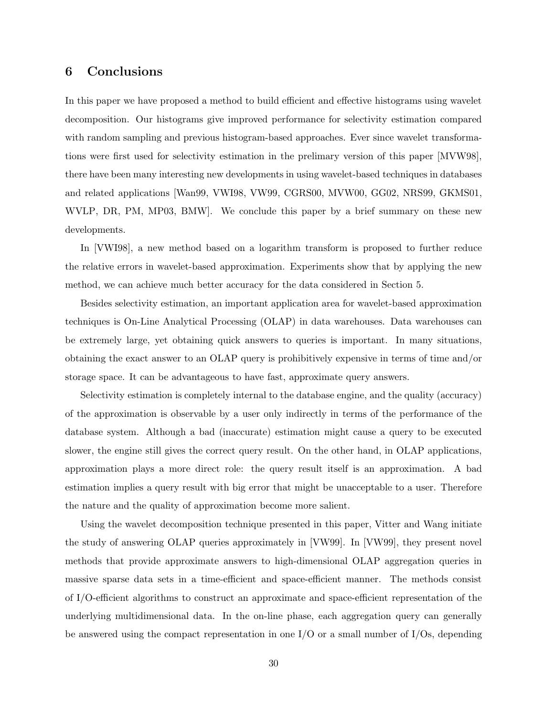## **6 Conclusions**

In this paper we have proposed a method to build efficient and effective histograms using wavelet decomposition. Our histograms give improved performance for selectivity estimation compared with random sampling and previous histogram-based approaches. Ever since wavelet transformations were first used for selectivity estimation in the prelimary version of this paper [MVW98], there have been many interesting new developments in using wavelet-based techniques in databases and related applications [Wan99, VWI98, VW99, CGRS00, MVW00, GG02, NRS99, GKMS01, WVLP, DR, PM, MP03, BMW]. We conclude this paper by a brief summary on these new developments.

In [VWI98], a new method based on a logarithm transform is proposed to further reduce the relative errors in wavelet-based approximation. Experiments show that by applying the new method, we can achieve much better accuracy for the data considered in Section 5.

Besides selectivity estimation, an important application area for wavelet-based approximation techniques is On-Line Analytical Processing (OLAP) in data warehouses. Data warehouses can be extremely large, yet obtaining quick answers to queries is important. In many situations, obtaining the exact answer to an OLAP query is prohibitively expensive in terms of time and/or storage space. It can be advantageous to have fast, approximate query answers.

Selectivity estimation is completely internal to the database engine, and the quality (accuracy) of the approximation is observable by a user only indirectly in terms of the performance of the database system. Although a bad (inaccurate) estimation might cause a query to be executed slower, the engine still gives the correct query result. On the other hand, in OLAP applications, approximation plays a more direct role: the query result itself is an approximation. A bad estimation implies a query result with big error that might be unacceptable to a user. Therefore the nature and the quality of approximation become more salient.

Using the wavelet decomposition technique presented in this paper, Vitter and Wang initiate the study of answering OLAP queries approximately in [VW99]. In [VW99], they present novel methods that provide approximate answers to high-dimensional OLAP aggregation queries in massive sparse data sets in a time-efficient and space-efficient manner. The methods consist of I/O-efficient algorithms to construct an approximate and space-efficient representation of the underlying multidimensional data. In the on-line phase, each aggregation query can generally be answered using the compact representation in one  $I/O$  or a small number of  $I/Os$ , depending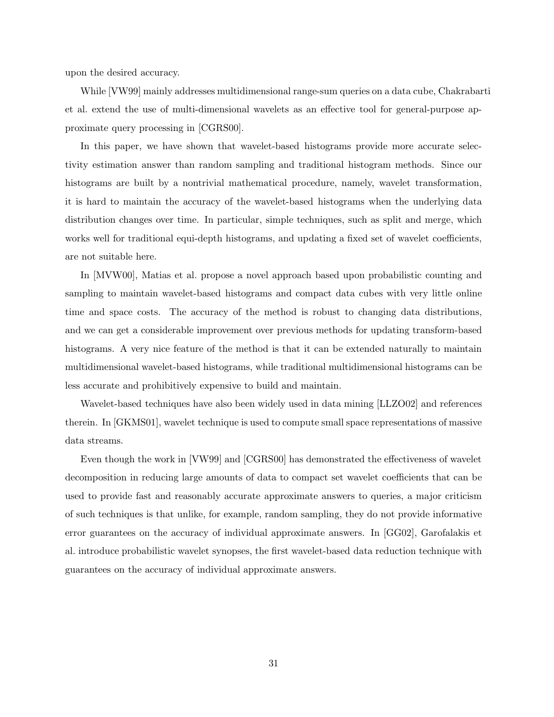upon the desired accuracy.

While [VW99] mainly addresses multidimensional range-sum queries on a data cube, Chakrabarti et al. extend the use of multi-dimensional wavelets as an effective tool for general-purpose approximate query processing in [CGRS00].

In this paper, we have shown that wavelet-based histograms provide more accurate selectivity estimation answer than random sampling and traditional histogram methods. Since our histograms are built by a nontrivial mathematical procedure, namely, wavelet transformation, it is hard to maintain the accuracy of the wavelet-based histograms when the underlying data distribution changes over time. In particular, simple techniques, such as split and merge, which works well for traditional equi-depth histograms, and updating a fixed set of wavelet coefficients, are not suitable here.

In [MVW00], Matias et al. propose a novel approach based upon probabilistic counting and sampling to maintain wavelet-based histograms and compact data cubes with very little online time and space costs. The accuracy of the method is robust to changing data distributions, and we can get a considerable improvement over previous methods for updating transform-based histograms. A very nice feature of the method is that it can be extended naturally to maintain multidimensional wavelet-based histograms, while traditional multidimensional histograms can be less accurate and prohibitively expensive to build and maintain.

Wavelet-based techniques have also been widely used in data mining [LLZO02] and references therein. In [GKMS01], wavelet technique is used to compute small space representations of massive data streams.

Even though the work in [VW99] and [CGRS00] has demonstrated the effectiveness of wavelet decomposition in reducing large amounts of data to compact set wavelet coefficients that can be used to provide fast and reasonably accurate approximate answers to queries, a major criticism of such techniques is that unlike, for example, random sampling, they do not provide informative error guarantees on the accuracy of individual approximate answers. In [GG02], Garofalakis et al. introduce probabilistic wavelet synopses, the first wavelet-based data reduction technique with guarantees on the accuracy of individual approximate answers.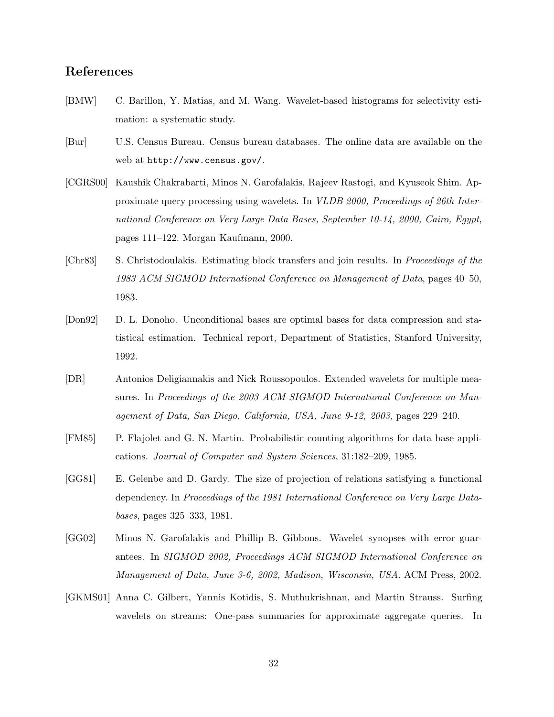# **References**

- [BMW] C. Barillon, Y. Matias, and M. Wang. Wavelet-based histograms for selectivity estimation: a systematic study.
- [Bur] U.S. Census Bureau. Census bureau databases. The online data are available on the web at http://www.census.gov/.
- [CGRS00] Kaushik Chakrabarti, Minos N. Garofalakis, Rajeev Rastogi, and Kyuseok Shim. Approximate query processing using wavelets. In *VLDB 2000, Proceedings of 26th International Conference on Very Large Data Bases, September 10-14, 2000, Cairo, Egypt*, pages 111–122. Morgan Kaufmann, 2000.
- [Chr83] S. Christodoulakis. Estimating block transfers and join results. In *Proceedings of the 1983 ACM SIGMOD International Conference on Management of Data*, pages 40–50, 1983.
- [Don92] D. L. Donoho. Unconditional bases are optimal bases for data compression and statistical estimation. Technical report, Department of Statistics, Stanford University, 1992.
- [DR] Antonios Deligiannakis and Nick Roussopoulos. Extended wavelets for multiple measures. In *Proceedings of the 2003 ACM SIGMOD International Conference on Management of Data, San Diego, California, USA, June 9-12, 2003*, pages 229–240.
- [FM85] P. Flajolet and G. N. Martin. Probabilistic counting algorithms for data base applications. *Journal of Computer and System Sciences*, 31:182–209, 1985.
- [GG81] E. Gelenbe and D. Gardy. The size of projection of relations satisfying a functional dependency. In *Proceedings of the 1981 International Conference on Very Large Databases*, pages 325–333, 1981.
- [GG02] Minos N. Garofalakis and Phillip B. Gibbons. Wavelet synopses with error guarantees. In *SIGMOD 2002, Proceedings ACM SIGMOD International Conference on Management of Data, June 3-6, 2002, Madison, Wisconsin, USA*. ACM Press, 2002.
- [GKMS01] Anna C. Gilbert, Yannis Kotidis, S. Muthukrishnan, and Martin Strauss. Surfing wavelets on streams: One-pass summaries for approximate aggregate queries. In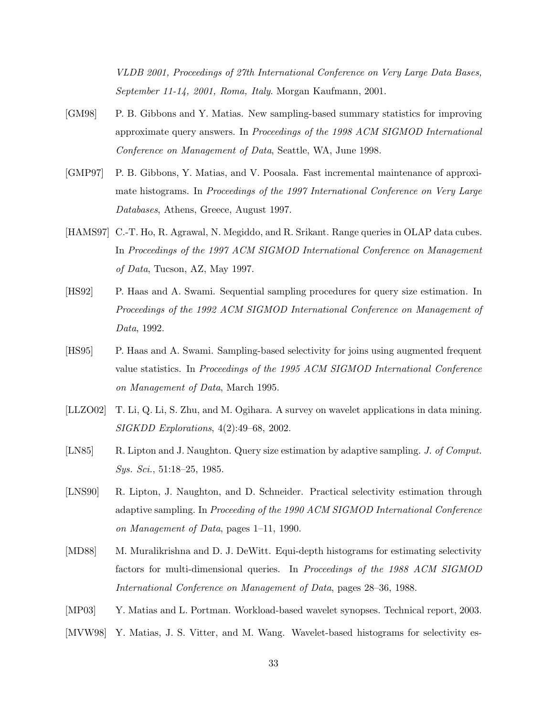*VLDB 2001, Proceedings of 27th International Conference on Very Large Data Bases, September 11-14, 2001, Roma, Italy*. Morgan Kaufmann, 2001.

- [GM98] P. B. Gibbons and Y. Matias. New sampling-based summary statistics for improving approximate query answers. In *Proceedings of the 1998 ACM SIGMOD International Conference on Management of Data*, Seattle, WA, June 1998.
- [GMP97] P. B. Gibbons, Y. Matias, and V. Poosala. Fast incremental maintenance of approximate histograms. In *Proceedings of the 1997 International Conference on Very Large Databases*, Athens, Greece, August 1997.
- [HAMS97] C.-T. Ho, R. Agrawal, N. Megiddo, and R. Srikant. Range queries in OLAP data cubes. In *Proceedings of the 1997 ACM SIGMOD International Conference on Management of Data*, Tucson, AZ, May 1997.
- [HS92] P. Haas and A. Swami. Sequential sampling procedures for query size estimation. In *Proceedings of the 1992 ACM SIGMOD International Conference on Management of Data*, 1992.
- [HS95] P. Haas and A. Swami. Sampling-based selectivity for joins using augmented frequent value statistics. In *Proceedings of the 1995 ACM SIGMOD International Conference on Management of Data*, March 1995.
- [LLZO02] T. Li, Q. Li, S. Zhu, and M. Ogihara. A survey on wavelet applications in data mining. *SIGKDD Explorations*, 4(2):49–68, 2002.
- [LN85] R. Lipton and J. Naughton. Query size estimation by adaptive sampling. *J. of Comput. Sys. Sci.*, 51:18–25, 1985.
- [LNS90] R. Lipton, J. Naughton, and D. Schneider. Practical selectivity estimation through adaptive sampling. In *Proceeding of the 1990 ACM SIGMOD International Conference on Management of Data*, pages 1–11, 1990.
- [MD88] M. Muralikrishna and D. J. DeWitt. Equi-depth histograms for estimating selectivity factors for multi-dimensional queries. In *Proceedings of the 1988 ACM SIGMOD International Conference on Management of Data*, pages 28–36, 1988.
- [MP03] Y. Matias and L. Portman. Workload-based wavelet synopses. Technical report, 2003.
- [MVW98] Y. Matias, J. S. Vitter, and M. Wang. Wavelet-based histograms for selectivity es-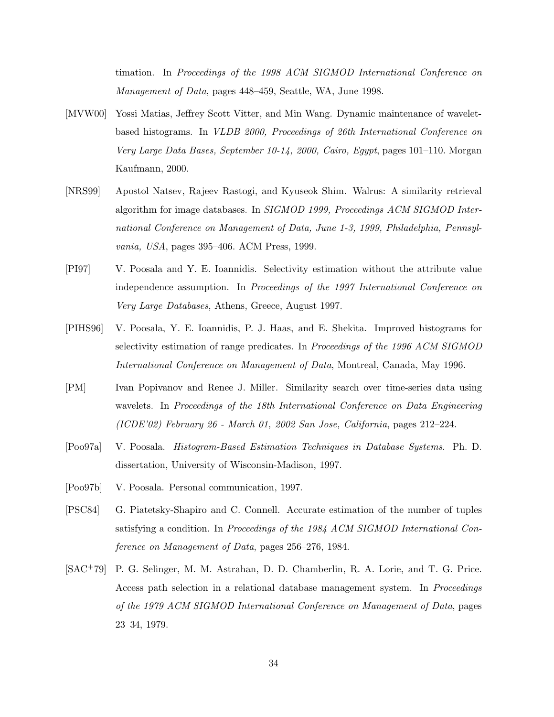timation. In *Proceedings of the 1998 ACM SIGMOD International Conference on Management of Data*, pages 448–459, Seattle, WA, June 1998.

- [MVW00] Yossi Matias, Jeffrey Scott Vitter, and Min Wang. Dynamic maintenance of waveletbased histograms. In *VLDB 2000, Proceedings of 26th International Conference on Very Large Data Bases, September 10-14, 2000, Cairo, Egypt*, pages 101–110. Morgan Kaufmann, 2000.
- [NRS99] Apostol Natsev, Rajeev Rastogi, and Kyuseok Shim. Walrus: A similarity retrieval algorithm for image databases. In *SIGMOD 1999, Proceedings ACM SIGMOD International Conference on Management of Data, June 1-3, 1999, Philadelphia, Pennsylvania, USA*, pages 395–406. ACM Press, 1999.
- [PI97] V. Poosala and Y. E. Ioannidis. Selectivity estimation without the attribute value independence assumption. In *Proceedings of the 1997 International Conference on Very Large Databases*, Athens, Greece, August 1997.
- [PIHS96] V. Poosala, Y. E. Ioannidis, P. J. Haas, and E. Shekita. Improved histograms for selectivity estimation of range predicates. In *Proceedings of the 1996 ACM SIGMOD International Conference on Management of Data*, Montreal, Canada, May 1996.
- [PM] Ivan Popivanov and Renee J. Miller. Similarity search over time-series data using wavelets. In *Proceedings of the 18th International Conference on Data Engineering (ICDE'02) February 26 - March 01, 2002 San Jose, California*, pages 212–224.
- [Poo97a] V. Poosala. *Histogram-Based Estimation Techniques in Database Systems*. Ph. D. dissertation, University of Wisconsin-Madison, 1997.
- [Poo97b] V. Poosala. Personal communication, 1997.
- [PSC84] G. Piatetsky-Shapiro and C. Connell. Accurate estimation of the number of tuples satisfying a condition. In *Proceedings of the 1984 ACM SIGMOD International Conference on Management of Data*, pages 256–276, 1984.
- [SAC+79] P. G. Selinger, M. M. Astrahan, D. D. Chamberlin, R. A. Lorie, and T. G. Price. Access path selection in a relational database management system. In *Proceedings of the 1979 ACM SIGMOD International Conference on Management of Data*, pages 23–34, 1979.